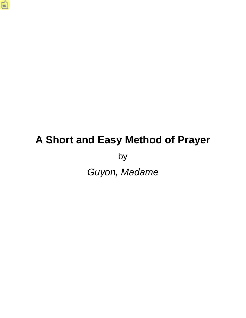# **A Short and Easy Method of Prayer**

by

*Guyon, Madame*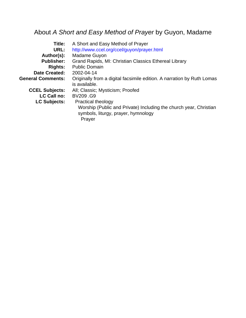# About *A Short and Easy Method of Prayer* by Guyon, Madame

<span id="page-1-0"></span>

| Title:                   | A Short and Easy Method of Prayer                                                                                  |
|--------------------------|--------------------------------------------------------------------------------------------------------------------|
| URL:                     | http://www.ccel.org/ccel/guyon/prayer.html                                                                         |
| Author(s):               | Madame Guyon                                                                                                       |
| <b>Publisher:</b>        | Grand Rapids, MI: Christian Classics Ethereal Library                                                              |
| <b>Rights:</b>           | <b>Public Domain</b>                                                                                               |
| Date Created:            | 2002-04-14                                                                                                         |
| <b>General Comments:</b> | Originally from a digital facsimile edition. A narration by Ruth Lomas                                             |
|                          | is available.                                                                                                      |
| <b>CCEL Subjects:</b>    | All; Classic; Mysticism; Proofed                                                                                   |
| <b>LC Call no:</b>       | BV209.G9                                                                                                           |
| <b>LC Subjects:</b>      | Practical theology                                                                                                 |
|                          | Worship (Public and Private) Including the church year, Christian<br>symbols, liturgy, prayer, hymnology<br>Prayer |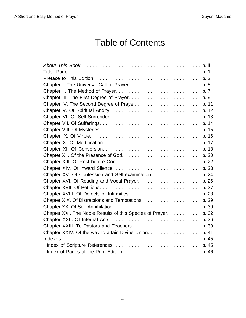# Table of Contents

| Chapter XXI. The Noble Results of this Species of Prayer. p. 32 |
|-----------------------------------------------------------------|
|                                                                 |
|                                                                 |
|                                                                 |
|                                                                 |
|                                                                 |
|                                                                 |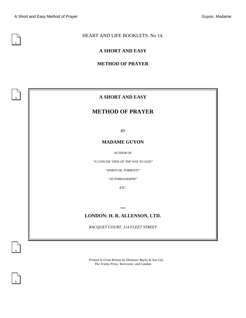<span id="page-4-4"></span><span id="page-4-3"></span>[4](http://www.ccel.org/ccel/guyon/prayer/png/0004=4.htm)

[5](http://www.ccel.org/ccel/guyon/prayer/png/0005=5.htm)

## <span id="page-4-1"></span><span id="page-4-0"></span>HEART AND LIFE BOOKLETS. No 14.

### **A SHORT AND EASY**

#### **METHOD OF PRAYER**

## [23](http://www.ccel.org/ccel/guyon/prayer/png/0002=2.htm) **A SHORT AND EASY**

# <span id="page-4-2"></span>**METHOD OF PRAYER**

*BY*

#### **MADAME GUYON**

*AUTHOR OF*

*"A CONCISE VIEW OF THE WAY TO GOD"*

*"SPIRITUAL TORRENTS"*

*"AUTOBIOGRAPHY"*

*ETC.*

### **LONDON: H. R. ALLENSON, LTD.**

*RACQUET COURT, 114 FLEET STREET*

*Printed in Great Britain by Ebenezer Baylis & Son Ltd., The Trinity Press, Worcestor, and London*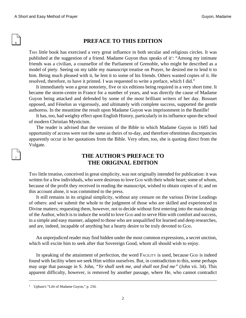<span id="page-5-2"></span><span id="page-5-0"></span>

### [6](http://www.ccel.org/ccel/guyon/prayer/png/0006=6.htm) **PREFACE TO THIS EDITION**

THIS little book has exercised a very great influence in both secular and religious circles. It was published at the suggestion of a friend. Madame Guyon thus speaks of it<sup>1</sup>: "Among my intimate friends was a civilian, a counsellor of the Parliament of Grenoble, who might be described as a model of piety. Seeing on my table my manuscript treatise on Prayer, he desired me to lend it to him. Being much pleased with it, he lent it to some of his friends. Others wanted copies of it. He resolved, therefore, to have it printed. I was requested to write a preface, which I did."

It immediately won a great notoriety, five or six editions being required in a very short time. It became the storm-centre in France for a number of years, and was directly the cause of Madame Guyon being attacked and defended by some of the most brilliant writers of her day. Bossuet opposed, and Fénelon as vigorously, and ultimately with complete success, supported the gentle authoress. In the meantime the result upon Madame Guyon was imprisonment in the Bastille!

It has, too, had weighty effect upon English History, particularly in its influence upon the school of modern Christian Mysticism.

<span id="page-5-3"></span>The reader is advised that the versions of the Bible to which Madame Guyon in 1685 had opportunity of access were not the same as theirs of to-day, and therefore oftentimes discrepancies apparently occur in her quotations from the Bible. Very often, too, she is quoting direct from the Vulgate.

# [7](http://www.ccel.org/ccel/guyon/prayer/png/0007=7.htm) **THE AUTHOR'S PREFACE TO THE ORIGINAL EDITION**

THIS little treatise, conceived in great simplicity, was not originally intended for publication: it was written for a few individuals, who were desirous to love Gop with their whole heart; some of whom, because of the profit they received in reading the manuscript, wished to obtain copies of it; and on this account alone, it was committed to the press.

It still remains in its original simplicity, without any censure on the various Divine Leadings of others: and we submit the whole to the judgment of those who are skilled and experienced in Divine matters; requesting them, however, not to decide without first entering into the main design of the Author, which is to induce the world to love GOD and to serve Him with comfort and success, in a simple and easy manner, adapted to those who are unqualified for learned and deep researches, and are, indeed, incapable of anything but a hearty desire to be truly devoted to GOD.

<span id="page-5-1"></span>An unprejudiced reader may find hidden under the most common expressions, a secret unction, which will excite him to seek after that Sovereign Good, whom all should wish to enjoy.

In speaking of the attainment of perfection, the word FACILITY is used, because GoD is indeed found with facility when we seek Him within ourselves. But, in contradiction to this, some perhaps may urge that passage in S. John, *"Ye shall seek me, and shall not find me"* ([John vii. 34](http://www.ccel.org/b/bible/asv/xml/asv.John.7.xml#John.7.34)). This apparent difficulty, however, is removed by another passage, where He, who cannot contradict

<sup>1</sup> Upham's "Life of Madame Guyon," p. 234.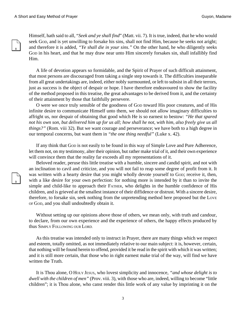<span id="page-6-4"></span><span id="page-6-1"></span>Himself, hath said to all, "*Seek and ye shall find*" ([Matt. vii. 7\)](http://www.ccel.org/b/bible/asv/xml/asv.Matt.7.xml#Matt.7.7). It is true, indeed, that he who would seek GOD, and is yet unwilling to forsake his sins, shall not find Him, because he seeks not aright; and therefore it is added, *"Ye shall die in your sins."* On the other hand, he who diligently seeks GOD in his heart, and that he may draw near unto Him sincerely forsakes sin, shall infallibly find Him.

A life of devotion appears so formidable, and the Spirit of Prayer of such difficult attainment, that most persons are discouraged from taking a single step towards it. The difficulties inseparable from all great undertakings are, indeed, either nobly surmounted, or left to subsist in all their terrors, just as success is the object of despair or hope. I have therefore endeavoured to show the facility of the method proposed in this treatise, the great advantages to be derived from it, and the certainty of their attainment by those that faithfully persevere.

<span id="page-6-3"></span><span id="page-6-2"></span>O were we once truly sensible of the goodness of GOD toward His poor creatures, and of His infinite desire to communicate Himself unto them, we should not allow imaginary difficulties to affright us, nor despair of obtaining that good which He is so earnest to bestow: *"He that spared not his own son, but delivered him up for us all; how shall he not, with him, also freely give us all things?"* ([Rom. viii 32](http://www.ccel.org/b/bible/asv/xml/asv.Rom.8.xml#Rom.8.32)). But we want courage and perseverance; we have both to a high degree in our temporal concerns, but want them in *"the one thing needful"* ([Luke x. 42](http://www.ccel.org/b/bible/asv/xml/asv.Luke.10.xml#Luke.10.42)).

If any think that GOD is not easily to be found in this way of Simple Love and Pure Adherence, let them not, on my testimony, alter their opinion, but rather make trial of it, and their own experience will convince them that the reality far exceeds all my representations of it.

<span id="page-6-5"></span>Beloved reader, peruse this little treatise with a humble, sincere and candid spirit, and not with an inclination to cavil and criticize, and you will not fail to reap some degree of profit from it. It was written with a hearty desire that you might wholly devote yourself to GOD; receive it, then, with a like desire for your own perfection: for nothing more is intended by it than to invite the simple and child-like to approach their FATHER, who delights in the humble confidence of His children, and is grieved at the smallest instance of their diffidence or distrust. With a sincere desire, therefore, to forsake sin, seek nothing from the unpretending method here proposed but the LOVE OF GOD, and you shall undoubtedly obtain it.

Without setting up our opinions above those of others, we mean only, with truth and candour, to declare, from our own experience and the experience of others, the happy effects produced by thus SIMPLY FOLLOWING OUR LORD.

<span id="page-6-0"></span>As this treatise was intended only to instruct in Prayer, there are many things which we respect and esteem, totally omitted, as not immediately relative to our main subject: it is, however, certain, that nothing will be found herein to offend, provided it be read in the spirit with which it was written; and it is still more certain, that those who in right earnest make trial of the way, will find we have written the Truth.

It is Thou alone, O HOLY JESUS, who lovest simplicity and innocence, *"and whose delight is to dwell with the children of men"* ([Prov. viii. 3](http://www.ccel.org/b/bible/asv/xml/asv.Prov.8.xml#Prov.8.3)), with those who are, indeed, willing to become "little children"; it is Thou alone, who canst render this little work of any value by imprinting it on the

[9](http://www.ccel.org/ccel/guyon/prayer/png/0009=9.htm)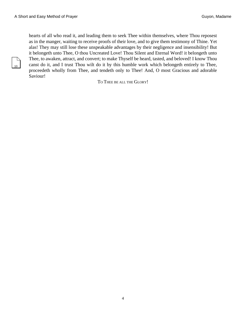<span id="page-7-0"></span>

hearts of all who read it, and leading them to seek Thee within themselves, where Thou reposest as in the manger, waiting to receive proofs of their love, and to give them testimony of Thine. Yet alas! They may still lose these unspeakable advantages by their negligence and insensibility! But it belongeth unto Thee, O thou Uncreated Love! Thou Silent and Eternal Word! it belongeth unto Thee, to awaken, attract, and convert; to make Thyself be heard, tasted, and beloved! I know Thou canst do it, and I trust Thou wilt do it by this humble work which belongeth entirely to Thee, proceedeth wholly from Thee, and tendeth only to Thee! And, O most Gracious and adorable Saviour!

TO THEE BE ALL THE GLORY!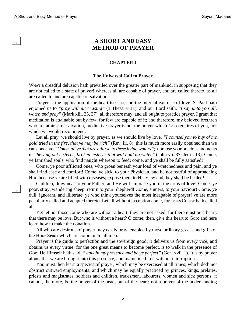# [11](http://www.ccel.org/ccel/guyon/prayer/png/0011=11.htm) **A SHORT AND EASY METHOD OF PRAYER**

#### **CHAPTER I**

#### **The Universal Call to Prayer**

<span id="page-8-6"></span><span id="page-8-0"></span>WHAT a dreadful delusion hath prevailed over the greater part of mankind, in supposing that they are not called to a state of prayer! whereas all are capable of prayer, and are called thereto, as all are called to and are capable of salvation.

<span id="page-8-4"></span><span id="page-8-3"></span>Prayer is the application of the heart to GOD, and the internal exercise of love. S. Paul hath enjoined us to *"pray without ceasing"* ([1 Thess. v 17\)](http://www.ccel.org/b/bible/asv/xml/asv.iThess.5.xml#iThess.5.17), and our Lord saith, "*I say unto you all, watch and pray"* [\(Mark xiii. 33, 37\)](http://www.ccel.org/b/bible/asv/xml/asv.Mark.13.xml#Mark.13.33 Bible:Mark.13.37): all therefore may, and all ought to practice prayer. I grant that meditation is attainable but by few, for few are capable of it; and therefore, my beloved brethren who are athirst for salvation, meditative prayer is not the prayer which GoD requires of you, nor which we would recommend.

<span id="page-8-5"></span><span id="page-8-2"></span>Let all pray: we should live by prayer, as we should live by love. *"I counsel you to buy of me gold tried in the fire, that ye may be rich"* ([Rev. iii. 8](http://www.ccel.org/b/bible/asv/xml/asv.Rev.3.xml#Rev.3.8)), this is much more easily obtained than we can conceive. "*Come, all ye that are athirst, to these living waters";* nor lose your precious moments in *"hewing out cisterns, broken cisterns that will hold no water"* ([John vii. 37;](http://www.ccel.org/b/bible/asv/xml/asv.John.7.xml#John.7.37) [Jer ii. 13](http://www.ccel.org/b/bible/asv/xml/asv.Jer.2.xml#Jer.2.13)). Come, ye famished souls, who find naught whereon to feed; come, and ye shall be fully satisfied!

<span id="page-8-7"></span>Come, ye poor afflicted ones, who groan beneath your load of wretchedness and pain, and ye shall find ease and comfort! Come, ye sick, to your Physician, and be not fearful of approaching Him because ye are filled with diseases; expose them to His view and they shall be healed!

Children, draw near to your Father, and He will embrace you in the arms of love! Come, ye poor, stray, wandering sheep, return to your Shepherd! Come, sinners, to your Saviour! Come, ye dull, ignorant, and illiterate, ye who think yourselves the most incapable of prayer! ye are more peculiarly called and adapted thereto. Let all without exception come, for JESUS CHRIST hath called all.

Yet let not those come who are without a heart; they are not asked; for there must be a heart, that there may be love. But who is without a heart? O come, then, give this heart to GOD; and here learn how to make the donation.

<span id="page-8-1"></span>All who are desirous of prayer may easily pray, enabled by those ordinary graces and gifts of the HOLY SPIRIT which are common to all men.

Prayer is the guide to perfection and the sovereign good; it delivers us from every vice, and obtains us every virtue; for the one great means to become perfect, is to walk in the presence of GOD: He Himself hath said, *"walk in my presence and be ye perfect"* ([Gen. xvii. 1\)](http://www.ccel.org/b/bible/asv/xml/asv.Gen.17.xml#Gen.17.1). It is by prayer alone, that we are brought into this presence, and maintained in it without interruption.

You must then learn a species of prayer, which may be exercised at all times; which doth not obstruct outward employments; and which may be equally practiced by princes, kings, prelates, priests and magistrates, soldiers and children, tradesmen, labourers, women and sick persons: it cannot, therefore, be the prayer of the head, but of the heart; not a prayer of the understanding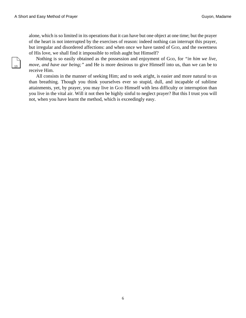alone, which is so limited in its operations that it can have but one object at one time; but the prayer of the heart is not interrupted by the exercises of reason: indeed nothing can interrupt this prayer, but irregular and disordered affections: and when once we have tasted of GOD, and the sweetness of His love, we shall find it impossible to relish aught but Himself?

<span id="page-9-0"></span>Nothing is so easily obtained as the possession and enjoyment of GOD, for *"in him we live, move, and have our being;"* and He is more desirous to give Himself into us, than we can be to receive Him.

All consists in the manner of seeking Him; and to seek aright, is easier and more natural to us than breathing. Though you think yourselves ever so stupid, dull, and incapable of sublime attainments, yet, by prayer, you may live in GOD Himself with less difficulty or interruption than you live in the vital air. Will it not then be highly sinful to neglect prayer? But this I trust you will not, when you have learnt the method, which is exceedingly easy.

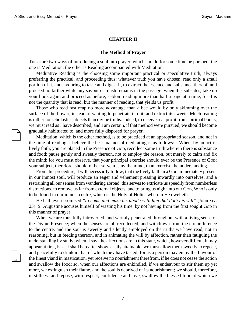[15](http://www.ccel.org/ccel/guyon/prayer/png/0015=15.htm)

#### **CHAPTER II**

#### **The Method of Prayer**

<span id="page-10-0"></span>THERE are two ways of introducing a soul into prayer, which should for some time be pursued; the one is Meditation, the other is Reading accompanied with Meditation.

Meditative Reading is the choosing some important practical or speculative truth, always preferring the practical, and proceeding thus: whatever truth you have chosen, read only a small portion of it, endeavouring to taste and digest it, to extract the essence and substance thereof, and proceed no farther while any savour or relish remains in the passage: when this subsides, take up your book again and proceed as before, seldom reading more than half a page at a time, for it is not the quantity that is read, but the manner of reading, that yields us profit.

<span id="page-10-2"></span>Those who read fast reap no more advantage than a bee would by only skimming over the surface of the flower, instead of waiting to penetrate into it, and extract its sweets. Much reading is rather for scholastic subjects than divine truths: indeed, to receive real profit from spiritual books, we must read as I have described; and I am certain, if that method were pursued, we should become gradually habituated to, and more fully disposed for prayer.

Meditation, which is the other method, is to be practiced at an appropriated season, and not in the time of reading. I believe the best manner of meditating is as follows:—When, by an act of lively faith, you are placed in the Presence of GOD, recollect some truth wherein there is substance and food; pause gently and sweetly thereon, not to employ the reason, but merely to calm and fix the mind: for you must observe, that your principal exercise should ever be the Presence of GOD; your subject, therefore, should rather serve to stay the mind, than exercise the understanding.

<span id="page-10-1"></span>From this procedure, it will necessarily follow, that the lively faith in a Gop immediately present in our inmost soul, will produce an eager and vehement pressing inwardly into ourselves, and a restraining all our senses from wandering abroad: this serves to extricate us speedily from numberless distractions, to remove us far from external objects, and to bring us nigh unto our GOD, Who is only to be found in our inmost centre, which is the Holy of Holies wherein He dwelleth.

He hath even promised *"to come and make his abode with him that doth his will"* ([John xiv.](http://www.ccel.org/b/bible/asv/xml/asv.John.14.xml#John.14.23) [23](http://www.ccel.org/b/bible/asv/xml/asv.John.14.xml#John.14.23)). S. Augustine accuses himself of wasting his time, by not having from the first sought GOD in this manner of prayer.

<span id="page-10-3"></span>When we are thus fully introverted, and warmly penetrated throughout with a living sense of the Divine Presence; when the senses are all recollected, and withdrawn from the circumference to the centre, and the soul is sweetly and silently employed on the truths we have read, not in reasoning, but in feeding thereon, and in animating the will by affection, rather than fatiguing the understanding by study; when, I say, the affections are in this state, which, however difficult it may appear at first, is, as I shall hereafter show, easily attainable; we must allow them sweetly to repose, and peacefully to drink in that of which they have tasted: for as a person may enjoy the flavour of the finest viand in mastication, yet receive no nourishment therefrom, if he does not cease the action and swallow the food; so, when our affections are enkindled, if we endeavour to stir them up yet more, we extinguish their flame, and the soul is deprived of its nourishment; we should, therefore, in stillness and repose, with respect, confidence and love, swallow the blessed food of which we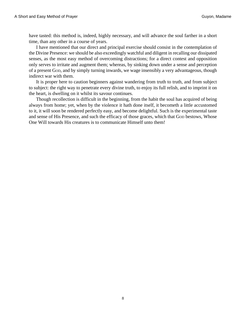have tasted: this method is, indeed, highly necessary, and will advance the soul farther in a short time, than any other in a course of years.

I have mentioned that our direct and principal exercise should consist in the contemplation of the Divine Presence: we should be also exceedingly watchful and diligent in recalling our dissipated senses, as the most easy method of overcoming distractions; for a direct contest and opposition only serves to irritate and augment them; whereas, by sinking down under a sense and perception of a present GOD, and by simply turning inwards, we wage insensibly a very advantageous, though indirect war with them.

It is proper here to caution beginners against wandering from truth to truth, and from subject to subject: the right way to penetrate every divine truth, to enjoy its full relish, and to imprint it on the heart, is dwelling on it whilst its savour continues.

Though recollection is difficult in the beginning, from the habit the soul has acquired of being always from home; yet, when by the violence it hath done itself, it becometh a little accustomed to it, it will soon be rendered perfectly easy, and become delightful. Such is the experimental taste and sense of His Presence, and such the efficacy of those graces, which that GOD bestows, Whose One Will towards His creatures is to communicate Himself unto them!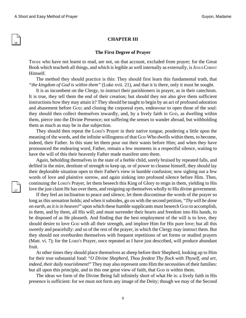#### **CHAPTER III**

#### **The First Degree of Prayer**

<span id="page-12-3"></span><span id="page-12-0"></span>THOSE who have not learnt to read, are not, on that account, excluded from prayer; for the Great Book which teacheth all things, and which is legible as well internally as externally, is JESUS CHRIST Himself.

<span id="page-12-2"></span>The method they should practice is this: They should first learn this fundamental truth, that *"the kingdom of God is within them"* ([Luke xvii. 21](http://www.ccel.org/b/bible/asv/xml/asv.Luke.17.xml#Luke.17.21)), and that it is there, only it must be sought.

It is as incumbent on the Clergy, to instruct their parishioners in prayer, as in their catechism. It is true, they tell them the end of their creation; but should they not also give them sufficient instructions how they may attain it? They should be taught to begin by an act of profound adoration and abasement before GOD; and closing the corporeal eyes, endeavour to open those of the soul: they should then collect themselves inwardly, and, by a lively faith in GOD, as dwelling within them, pierce into the Divine Presence; not suffering the senses to wander abroad, but withholding them as much as may be in due subjection.

They should then repeat the LORD'S Prayer in their native tongue, pondering a little upon the meaning of the words, and the infinite willingness of that GOD Who dwells within them, to become, indeed, their Father. In this state let them pour out their wants before Him; and when they have pronounced the endearing word, Father, remain a few moments in a respectful silence, waiting to have the will of this their heavenly Father made manifest unto them.

<span id="page-12-4"></span>Again, beholding themselves in the state of a feeble child, sorely bruised by repeated falls, and defiled in the mire, destitute of strength to keep up, or of power to cleanse himself, they should lay their deplorable situation open to their Father's view in humble confusion; now sighing out a few words of love and plaintive sorrow, and again sinking into profound silence before Him. Then, continuing the LORD'S Prayer, let them beseech this King of Glory to reign in them, yielding to His love the just claim He has over them, and resigning up themselves wholly to His divine government.

<span id="page-12-1"></span>If they feel an inclination to peace and silence, let them discontinue the words of the prayer so long as this sensation holds; and when it subsides, go on with the second petition, "*Thy will be done on earth, as it is in heaven!*" upon which these humble supplicants must beseech GoD to accomplish, in them, and by them, all His will; and must surrender their hearts and freedom into His hands, to be disposed of as He pleaseth. And finding that the best employment of the will is to love, they should desire to love GOD with all their strength, and implore Him for His pure love; but all this sweetly and peacefully: and so of the rest of the prayer, in which the Clergy may instruct them. But they should not overburden themselves with frequent repetitions of set forms or studied prayers ([Matt. vi. 7](http://www.ccel.org/b/bible/asv/xml/asv.Matt.6.xml#Matt.6.7)); for the LORD'S Prayer, once repeated as I have just described, will produce abundant fruit.

At other times they should place themselves as sheep before their Shepherd, looking up to Him for their true substantial food: "*O Divine Shepherd, Thou feedest Thy flock with Thyself, and art, indeed, their daily nourishment!*" They may also represent unto Him the necessities of their families: but all upon this principle, and in this one great view of faith, that GoD is within them.

The ideas we form of the Divine Being fall infinitely short of what He is: a lively faith in His presence is sufficient: for we must not form any image of the Deity; though we may of the Second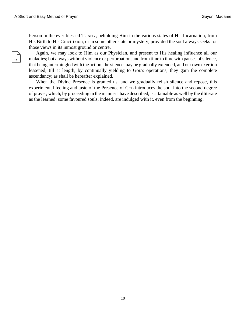Person in the ever-blessed TRINITY, beholding Him in the various states of His Incarnation, from His Birth to His Crucifixion, or in some other state or mystery, provided the soul always seeks for those views in its inmost ground or centre.

[18](http://www.ccel.org/ccel/guyon/prayer/png/0018=18.htm)

<span id="page-13-0"></span>Again, we may look to Him as our Physician, and present to His healing influence all our maladies; but always without violence or perturbation, and from time to time with pauses of silence, that being intermingled with the action, the silence may be gradually extended, and our own exertion lessened; till at length, by continually yielding to GOD'S operations, they gain the complete ascendancy; as shall be hereafter explained.

When the Divine Presence is granted us, and we gradually relish silence and repose, this experimental feeling and taste of the Presence of GOD introduces the soul into the second degree of prayer, which, by proceeding in the manner I have described, is attainable as well by the illiterate as the learned: some favoured souls, indeed, are indulged with it, even from the beginning.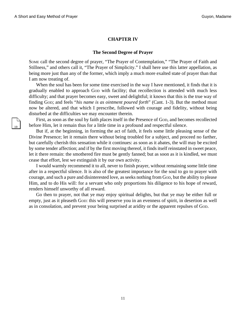#### **CHAPTER IV**

#### **The Second Degree of Prayer**

<span id="page-14-0"></span>SOME call the second degree of prayer, "The Prayer of Contemplation," "The Prayer of Faith and Stillness," and others call it, "The Prayer of Simplicity." I shall here use this latter appellation, as being more just than any of the former, which imply a much more exalted state of prayer than that I am now treating of.

<span id="page-14-1"></span>When the soul has been for some time exercised in the way I have mentioned, it finds that it is gradually enabled to approach Gop with facility; that recollection is attended with much less difficulty; and that prayer becomes easy, sweet and delightful; it knows that this is the true way of finding GOD; and feels "*his name is as ointment poured forth*" [\(Cant. 1-3\)](http://www.ccel.org/b/bible/asv/xml/asv.Song..xml#Song..). But the method must now be altered, and that which I prescribe, followed with courage and fidelity, without being disturbed at the difficulties we may encounter therein.

<span id="page-14-2"></span>First, as soon as the soul by faith places itself in the Presence of GOD, and becomes recollected before Him, let it remain thus for a little time in a profound and respectful silence.

But if, at the beginning, in forming the act of faith, it feels some little pleasing sense of the Divine Presence; let it remain there without being troubled for a subject, and proceed no farther, but carefully cherish this sensation while it continues: as soon as it abates, the will may be excited by some tender affection; and if by the first moving thereof, it finds itself reinstated in sweet peace, let it there remain: the smothered fire must be gently fanned; but as soon as it is kindled, we must cease that effort, lest we extinguish it by our own activity.

I would warmly recommend it to all, never to finish prayer, without remaining some little time after in a respectful silence. It is also of the greatest importance for the soul to go to prayer with courage, and such a pure and disinterested love, as seeks nothing from GOD, but the ability to please Him, and to do His will: for a servant who only proportions his diligence to his hope of reward, renders himself unworthy of all reward.

Go then to prayer, not that ye may enjoy spiritual delights, but that ye may be either full or empty, just as it pleaseth GOD: this will preserve you in an evenness of spirit, in desertion as well as in consolation, and prevent your being surprised at aridity or the apparent repulses of GOD.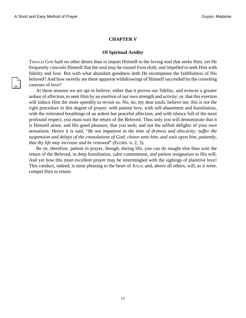#### **CHAPTER V**

#### **Of Spiritual Aridity**

<span id="page-15-2"></span><span id="page-15-0"></span>THOUGH GOD hath no other desire than to impart Himself to the loving soul that seeks Him, yet He frequently conceals Himself that the soul may be roused from sloth, and impelled to seek Him with fidelity and love. But with what abundant goodness doth He recompense the faithfulness of His beloved? And how sweetly are these apparent withdrawings of Himself succeeded by the consoling caresses of love?

At these seasons we are apt to believe, either that it proves our fidelity, and evinces a greater ardour of affection, to seek Him by an exertion of our own strength and activity; or, that this exertion will induce Him the more speedily to revisit us. No, no, my dear souls, believe me, this is not the right procedure in this degree of prayer; with patient love, with self-abasement and humiliation, with the reiterated breathings of an ardent but peaceful affection, and with silence full of the most profound respect, you must wait the return of the Beloved. Thus only you will demonstrate that it is Himself alone, and His good pleasure, that you seek; and not the selfish delights of your own sensations. Hence it is said, "*Be not impatient in the time of dryness and obscurity; suffer the suspension and delays of the consolations of God; cleave unto him, and wait upon him, patiently, that thy life may increase and be renewed*" ([Eccles. ii. 2, 3\)](http://www.ccel.org/b/bible/asv/xml/asv.Eccl.2.xml#Eccl.2.2 Bible:Eccl.2.3).

<span id="page-15-1"></span>Be ye, therefore, patient in prayer, though, during life, you can do naught else than wait the return of the Beloved, in deep humiliation, calm contentment, and patient resignation to His will. And yet how this most excellent prayer may be intermingled with the sighings of plaintive love! This conduct, indeed, is most pleasing to the heart of JESUS; and, above all others, will, as it were, compel Him to return.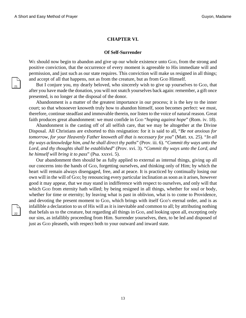[22](http://www.ccel.org/ccel/guyon/prayer/png/0022=22.htm)

#### **CHAPTER VI.**

#### **Of Self-Surrender**

<span id="page-16-6"></span><span id="page-16-0"></span>WE should now begin to abandon and give up our whole existence unto GoD, from the strong and positive conviction, that the occurrence of every moment is agreeable to His immediate will and permission, and just such as our state requires. This conviction will make us resigned in all things; and accept of all that happens, not as from the creature, but as from GOD Himself.

But I conjure you, my dearly beloved, who sincerely wish to give up yourselves to GOD, that after you have made the donation, you will not snatch yourselves back again: remember, a gift once presented, is no longer at the disposal of the donor.

<span id="page-16-5"></span>Abandonment is a matter of the greatest importance in our process; it is the key to the inner court; so that whosoever knoweth truly how to abandon himself, soon becomes perfect: we must, therefore, continue steadfast and immovable therein, nor listen to the voice of natural reason. Great faith produces great abandonment: we must confide in Gop "*hoping against hope*" [\(Rom. iv. 18](http://www.ccel.org/b/bible/asv/xml/asv.Rom.4.xml#Rom.4.18)).

<span id="page-16-4"></span><span id="page-16-3"></span><span id="page-16-2"></span><span id="page-16-1"></span>Abandonment is the casting off of all selfish care, that we may be altogether at the Divine Disposal. All Christians are exhorted to this resignation: for it is said to all, "*Be not anxious for tomorrow, for your Heavenly Father knoweth all that is necessary for you*" [\(Matt. xx. 25\)](http://www.ccel.org/b/bible/asv/xml/asv.Matt.20.xml#Matt.20.25). "*In all thy ways acknowledge him, and he shall direct thy paths*" ([Prov. iii. 6\)](http://www.ccel.org/b/bible/asv/xml/asv.Prov.3.xml#Prov.3.6). "*Commit thy ways unto the Lord, and thy thoughts shall be established*" [\(Prov. xvi. 3\)](http://www.ccel.org/b/bible/asv/xml/asv.Prov.16.xml#Prov.16.3). "*Commit thy ways unto the Lord, and he himself will bring it to pass*" ([Psa. xxxvi. 5\)](http://www.ccel.org/b/bible/asv/xml/asv.Ps.36.xml#Ps.36.5).

<span id="page-16-7"></span>Our abandonment then should be as fully applied to external as internal things, giving up all our concerns into the hands of GOD, forgetting ourselves, and thinking only of Him; by which the heart will remain always disengaged, free, and at peace. It is practiced by continually losing our own will in the will of GOD; by renouncing every particular inclination as soon as it arises, however good it may appear, that we may stand in indifference with respect to ourselves, and only will that which Gob from eternity hath willed; by being resigned in all things, whether for soul or body, whether for time or eternity; by leaving what is past in oblivion, what is to come to Providence, and devoting the present moment to GOD, which brings with itself GOD'S eternal order, and is as infallible a declaration to us of His will as it is inevitable and common to all; by attributing nothing that befals us to the creature, but regarding all things in GOD, and looking upon all, excepting only our sins, as infallibly proceeding from Him. Surrender yourselves, then, to be led and disposed of just as GOD pleaseth, with respect both to your outward and inward state.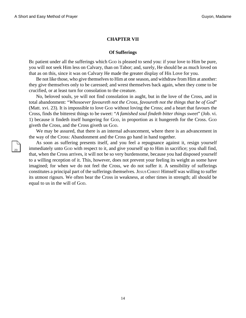#### **CHAPTER VII**

#### **Of Sufferings**

<span id="page-17-0"></span>BE patient under all the sufferings which GOD is pleased to send you: if your love to Him be pure, you will not seek Him less on Calvary, than on Tabor; and, surely, He should be as much loved on that as on this, since it was on Calvary He made the greater display of His Love for you.

Be not like those, who give themselves to Him at one season, and withdraw from Him at another: they give themselves only to be caressed; and wrest themselves back again, when they come to be crucified, or at least turn for consolation to the creature.

<span id="page-17-2"></span><span id="page-17-1"></span>No, beloved souls, ye will not find consolation in aught, but in the love of the Cross, and in total abandonment: "*Whosoever favoureth not the Cross, favoureth not the things that be of God*" ([Matt. xvi. 23](http://www.ccel.org/b/bible/asv/xml/asv.Matt.16.xml#Matt.16.23)). It is impossible to love Gop without loving the Cross; and a heart that favours the Cross, finds the bitterest things to be sweet: "*A famished soul findeth bitter things sweet*" [\(Job. vi.](http://www.ccel.org/b/bible/asv/xml/asv.Job.6.xml#Job.6.1) [1](http://www.ccel.org/b/bible/asv/xml/asv.Job.6.xml#Job.6.1)) because it findeth itself hungering for GOD, in proportion as it hungereth for the Cross. GOD giveth the Cross, and the Cross giveth us GOD.

<span id="page-17-3"></span>We may be assured, that there is an internal advancement, where there is an advancement in the way of the Cross: Abandonment and the Cross go hand in hand together.

As soon as suffering presents itself, and you feel a repugnance against it, resign yourself immediately unto GOD with respect to it, and give yourself up to Him in sacrifice; you shall find, that, when the Cross arrives, it will not be so very burdensome, because you had disposed yourself to a willing reception of it. This, however, does not prevent your feeling its weight as some have imagined; for when we do not feel the Cross, we do not suffer it. A sensibility of sufferings constitutes a principal part of the sufferings themselves. JESUS CHRIST Himself was willing to suffer its utmost rigours. We often bear the Cross in weakness, at other times in strength; all should be equal to us in the will of GOD.

14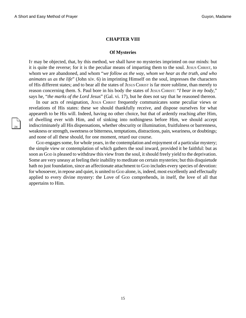#### **CHAPTER VIII**

#### **Of Mysteries**

<span id="page-18-1"></span><span id="page-18-0"></span>IT may be objected, that, by this method, we shall have no mysteries imprinted on our minds: but it is quite the reverse; for it is the peculiar means of imparting them to the soul. JESUS CHRIST, to whom we are abandoned, and whom "*we follow as the way, whom we hear as the truth, and who animates us as the life*" ([John xiv. 6\)](http://www.ccel.org/b/bible/asv/xml/asv.John.14.xml#John.14.6) in imprinting Himself on the soul, impresses the characters of His different states; and to bear all the states of JESUS CHRIST is far more sublime, than merely to reason concerning them. S. Paul bore in his body the states of JESUS CHRIST: "*I bear in my body*," says he, "*the marks of the Lord Jesus*" ([Gal. vi. 17\)](http://www.ccel.org/b/bible/asv/xml/asv.Gal.6.xml#Gal.6.17), but he does not say that he reasoned thereon.

<span id="page-18-3"></span><span id="page-18-2"></span>In our acts of resignation, JESUS CHRIST frequently communicates some peculiar views or revelations of His states: these we should thankfully receive, and dispose ourselves for what appeareth to be His will. Indeed, having no other choice, but that of ardently reaching after Him, of dwelling ever with Him, and of sinking into nothingness before Him, we should accept indiscriminately all His dispensations, whether obscurity or illumination, fruitfulness or barrenness, weakness or strength, sweetness or bitterness, temptations, distractions, pain, weariness, or doubtings; and none of all these should, for one moment, retard our course.

Gob engages some, for whole years, in the contemplation and enjoyment of a particular mystery; the simple view or contemplation of which gathers the soul inward, provided it be faithful: but as soon as GOD is pleased to withdraw this view from the soul, it should freely yield to the deprivation. Some are very uneasy at feeling their inability to meditate on certain mysteries; but this disquietude hath no just foundation, since an affectionate attachment to GoD includes every species of devotion: for whosoever, in repose and quiet, is united to Gop alone, is, indeed, most excellently and effectually applied to every divine mystery: the Love of GOD comprehends, in itself, the love of all that appertains to Him.

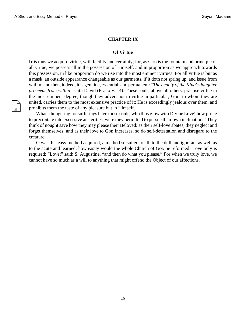#### **CHAPTER IX**

#### **Of Virtue**

<span id="page-19-1"></span><span id="page-19-0"></span>IT is thus we acquire virtue, with facility and certainty; for, as GOD is the fountain and principle of all virtue, we possess all in the possession of Himself; and in proportion as we approach towards this possession, in like proportion do we rise into the most eminent virtues. For all virtue is but as a mask, an outside appearance changeable as our garments, if it doth not spring up, and issue from within; and then, indeed, it is genuine, essential, and permanent: "*The beauty of the King's daughter proceeds from within*" saith David ([Psa. xlv. 14](http://www.ccel.org/b/bible/asv/xml/asv.Ps.45.xml#Ps.45.14)). These souls, above all others, practise virtue in the most eminent degree, though they advert not to virtue in particular; GOD, to whom they are united, carries them to the most extensive practice of it; He is exceedingly jealous over them, and prohibits them the taste of any pleasure but in Himself.

<span id="page-19-2"></span>What a hungering for sufferings have those souls, who thus glow with Divine Love! how prone to precipitate into excessive austerities, were they permitted to pursue their own inclinations! They think of nought save how they may please their Beloved: as their self-love abates, they neglect and forget themselves; and as their love to GOD increases, so do self-detestation and disregard to the creature.

O was this easy method acquired, a method so suited to all, to the dull and ignorant as well as to the acute and learned, how easily would the whole Church of GOD be reformed! Love only is required: "Love;" saith S. Augustine, "and then do what you please." For when we truly love, we cannot have so much as a will to anything that might offend the Object of our affections.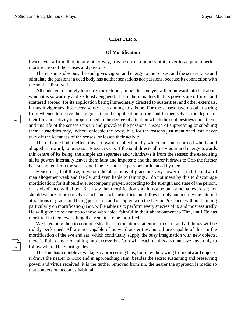#### **CHAPTER X**

#### **Of Mortification**

<span id="page-20-0"></span>I WILL even affirm, that, in any other way, it is next to an impossibility ever to acquire a perfect mortification of the senses and passions.

The reason is obvious; the soul gives vigour and energy to the senses, and the senses raise and stimulate the passions: a dead body has neither sensations nor passions, because its connection with the soul is dissolved.

<span id="page-20-1"></span>All endeavours merely to rectify the exterior, impel the soul yet farther outward into that about which it is so warmly and zealously engaged. It is in these matters that its powers are diffused and scattered abroad: for its application being immediately directed to austerities, and other externals, it thus invigorates those very senses it is aiming to subdue. For the senses have no other spring from whence to derive their vigour, than the application of the soul to themselves; the degree of their life and activity is proportioned to the degree of attention which the soul bestows upon them; and this life of the senses stirs up and provokes the passions, instead of suppressing or subduing them: austerities may, indeed, enfeeble the body, but, for the reasons just mentioned, can never take off the keenness of the senses, or lessen their activity.

The only method to effect this is inward recollection; by which the soul is turned wholly and altogether inward, to possess a PRESENT GOD. If the soul directs all its vigour and energy towards this centre of its being, the simple act separates and withdraws it from the senses; the exercising all its powers internally leaves them faint and impotent; and the nearer it draws to GOD the farther is it separated from the senses, and the less are the passions influenced by them.

Hence it is, that those, in whom the attractions of grace are very powerful, find the outward man altogether weak and feeble, and even liable to faintings. I do not mean by this to discourage mortification; for it should ever accompany prayer, according to the strength and state of the person, or as obedience will allow. But I say that mortification should not be our principal exercise; nor should we prescribe ourselves such and such austerities, but follow simply and merely the internal attractions of grace; and being possessed and occupied with the Divine Presence (without thinking particularly on mortification) GOD will enable us to perform every species of it; and most assuredly He will give no relaxation to those who abide faithful in their abandonment to Him, until He has mortified in them everything that remains to be mortified.

<span id="page-20-2"></span>We have only then to continue steadfast in the utmost attention to GoD, and all things will be rightly performed. All are not capable of outward austerities, but all are capable of this. In the mortification of the eye and ear, which continually supply the busy imagination with new objects, there is little danger of falling into excess: but GOD will teach us this also, and we have only to follow where His Spirit guides.

The soul has a double advantage by proceeding thus, for, in withdrawing from outward objects, it draws the nearer to GOD; and in approaching Him, besides the secret sustaining and preserving power and virtue received, it is the farther removed from sin, the nearer the approach is made; so that conversion becomes habitual.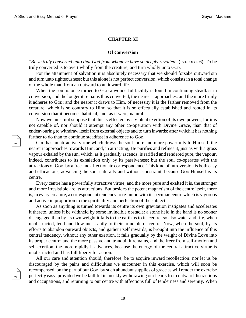#### **CHAPTER XI**

#### **Of Conversion**

<span id="page-21-1"></span><span id="page-21-0"></span>"*BE ye truly converted unto that God from whom ye have so deeply revolted*" ([Isa. xxxi. 6](http://www.ccel.org/b/bible/asv/xml/asv.Isa.31.xml#Isa.31.6)). To be truly converted is to avert wholly from the creature, and turn wholly unto GOD.

For the attainment of salvation it is absolutely necessary that we should forsake outward sin and turn unto righteousness: but this alone is not perfect conversion, which consists in a total change of the whole man from an outward to an inward life.

When the soul is once turned to GoD a wonderful facility is found in continuing steadfast in conversion; and the longer it remains thus converted, the nearer it approaches, and the more firmly it adheres to GOD; and the nearer it draws to Him, of necessity it is the farther removed from the creature, which is so contrary to Him: so that it is so effectually established and rooted in its conversion that it becomes habitual, and, as it were, natural.

<span id="page-21-2"></span>Now we must not suppose that this is effected by a violent exertion of its own powers; for it is not capable of, nor should it attempt any other co-operation with Divine Grace, than that of endeavouring to withdraw itself from external objects and to turn inwards: after which it has nothing farther to do than to continue steadfast in adherence to GOD.

GOD has an attractive virtue which draws the soul more and more powerfully to Himself, the nearer it approaches towards Him, and, in attracting, He purifies and refines it; just as with a gross vapour exhaled by the sun, which, as it gradually ascends, is rarified and rendered pure, the vapour, indeed, contributes to its exhalation only by its passiveness; but the soul co-operates with the attractions of GOD, by a free and affectionate correspondence. This kind of introversion is both easy and efficacious, advancing the soul naturally and without constraint, because GOD Himself is its centre.

Every centre has a powerfully attractive virtue; and the more pure and exalted it is, the stronger and more irresistible are its attractions. But besides the potent magnetism of the centre itself, there is, in every creature, a correspondent tendency to re-union with its peculiar centre which is vigorous and active in proportion to the spirituality and perfection of the subject.

As soon as anything is turned towards its centre its own gravitation instigates and accelerates it thereto, unless it be withheld by some invincible obstacle: a stone held in the hand is no sooner disengaged than by its own weight it falls to the earth as to its centre; so also water and fire, when unobstructed, tend and flow incessantly to their principle or centre. Now, when the soul, by its efforts to abandon outward objects, and gather itself inwards, is brought into the influence of this central tendency, without any other exertion, it falls gradually by the weight of Divine Love into its proper centre; and the more passive and tranquil it remains, and the freer from self-motion and self-exertion, the more rapidly it advances, because the energy of the central attractive virtue is unobstructed and has full liberty for action.

<span id="page-21-3"></span>All our care and attention should, therefore, be to acquire inward recollection: nor let us be discouraged by the pains and difficulties we encounter in this exercise, which will soon be recompensed, on the part of our GOD, by such abundant supplies of grace as will render the exercise perfectly easy, provided we be faithful in meekly withdrawing our hearts from outward distractions and occupations, and returning to our centre with affections full of tenderness and serenity. When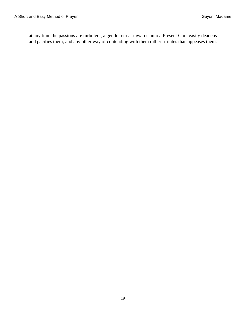at any time the passions are turbulent, a gentle retreat inwards unto a Present GOD, easily deadens and pacifies them; and any other way of contending with them rather irritates than appeases them.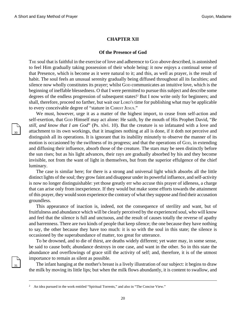[31](http://www.ccel.org/ccel/guyon/prayer/png/0031=31.htm)

#### **CHAPTER XII**

#### **Of the Presence of God**

<span id="page-23-0"></span>THE soul that is faithful in the exercise of love and adherence to GOD above described, is astonished to feel Him gradually taking possession of their whole being: it now enjoys a continual sense of that Presence, which is become as it were natural to it; and this, as well as prayer, is the result of habit. The soul feels an unusual serenity gradually being diffused throughout all its faculties; and silence now wholly constitutes its prayer; whilst Gop communicates an intuitive love, which is the beginning of ineffable blessedness. O that I were permitted to pursue this subject and describe some degrees of the endless progression of subsequent states!<sup>2</sup> But I now write only for beginners; and shall, therefore, proceed no farther, but wait our LORD'S time for publishing what may be applicable to every conceivable degree of "stature in CHRIST JESUS."

<span id="page-23-2"></span><span id="page-23-1"></span>We must, however, urge it as a matter of the highest import, to cease from self-action and self-exertion, that GOD Himself may act alone: He saith, by the mouth of His Prophet David, "*Be still, and know that I am God*" ([Ps. xlvi. 10](http://www.ccel.org/b/bible/asv/xml/asv.Ps.46.xml#Ps.46.10)). But the creature is so infatuated with a love and attachment to its own workings, that it imagines nothing at all is done, if it doth not perceive and distinguish all its operations. It is ignorant that its inability minutely to observe the manner of its motion is occasioned by the swiftness of its progress; and that the operations of GOD, in extending and diffusing their influence, absorb those of the creature. The stars may be seen distinctly before the sun rises; but as his light advances, their rays are gradually absorbed by his and they become invisible, not from the want of light in themselves, but from the superior effulgence of the chief luminary.

The case is similar here; for there is a strong and universal light which absorbs all the little distinct lights of the soul; they grow faint and disappear under its powerful influence, and self-activity is now no longer distinguishable: yet those greatly err who accuse this prayer of idleness, a charge that can arise only from inexperience. If they would but make some efforts towards the attainment of this prayer, they would soon experience the contrary of what they suppose and find their accusation groundless.

This appearance of inaction is, indeed, not the consequence of sterility and want, but of fruitfulness and abundance which will be clearly perceived by the experienced soul, who will know and feel that the silence is full and unctuous, and the result of causes totally the reverse of apathy and barrenness. There are two kinds of people that keep silence; the one because they have nothing to say, the other because they have too much: it is so with the soul in this state; the silence is occasioned by the superabundance of matter, too great for utterance.

<span id="page-23-3"></span>To be drowned, and to die of thirst, are deaths widely different; yet water may, in some sense, be said to cause both; abundance destroys in one case, and want in the other. So in this state the abundance and overflowings of grace still the activity of self; and, therefore, it is of the utmost importance to remain as silent as possible.

The infant hanging at the mother's breast is a lively illustration of our subject: it begins to draw the milk by moving its little lips; but when the milk flows abundantly, it is content to swallow, and

<sup>2</sup> An idea pursued in the work entitled "Spiritual Torrents," and also in "The Concise View."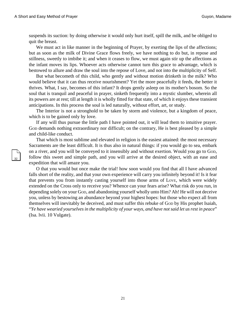suspends its suction: by doing otherwise it would only hurt itself, spill the milk, and be obliged to quit the breast.

We must act in like manner in the beginning of Prayer, by exerting the lips of the affections; but as soon as the milk of Divine Grace flows freely, we have nothing to do but, in repose and stillness, sweetly to imbibe it; and when it ceases to flow, we must again stir up the affections as the infant moves its lips. Whoever acts otherwise cannot turn this grace to advantage, which is bestowed to allure and draw the soul into the repose of Love, and not into the multiplicity of Self.

But what becometh of this child, who gently and without motion drinketh in the milk? Who would believe that it can thus receive nourishment? Yet the more peacefully it feeds, the better it thrives. What, I say, becomes of this infant? It drops gently asleep on its mother's bosom. So the soul that is tranquil and peaceful in prayer, sinketh frequently into a mystic slumber, wherein all its powers are at rest; till at length it is wholly fitted for that state, of which it enjoys these transient anticipations. In this process the soul is led naturally, without effort, art, or study.

The Interior is not a stronghold to be taken by storm and violence, but a kingdom of peace, which is to be gained only by love.

If any will thus pursue the little path I have pointed out, it will lead them to intuitive prayer. GOD demands nothing extraordinary nor difficult; on the contrary, He is best pleased by a simple and child-like conduct.

<span id="page-24-1"></span>That which is most sublime and elevated in religion is the easiest attained: the most necessary Sacraments are the least difficult. It is thus also in natural things: if you would go to sea, embark on a river, and you will be conveyed to it insensibly and without exertion. Would you go to GOD, follow this sweet and simple path, and you will arrive at the desired object, with an ease and expedition that will amaze you.

<span id="page-24-0"></span>O that you would but once make the trial! how soon would you find that all I have advanced falls short of the reality, and that your own experience will carry you infinitely beyond it! Is it fear that prevents you from instantly casting yourself into those arms of LOVE, which were widely extended on the Cross only to receive you? Whence can your fears arise? What risk do you run, in depending solely on your GOD, and abandoning yourself wholly unto Him? Ah! He will not deceive you, unless by bestowing an abundance beyond your highest hopes: but those who expect all from themselves will inevitably be deceived, and must suffer this rebuke of GOD by His prophet Isaiah, "*Ye have wearied yourselves in the multiplicity of your ways, and have not said let us rest in peace*" ([Isa. lvii. 10](http://www.ccel.org/b/bible/asv/xml/asv.Isa.57.xml#Isa.57.10) Vulgate).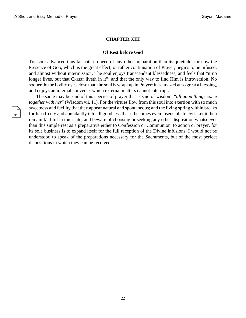#### **CHAPTER XIII**

#### **Of Rest before God**

<span id="page-25-0"></span>THE soul advanced thus far hath no need of any other preparation than its quietude: for now the Presence of GOD, which is the great effect, or rather continuation of Prayer, begins to be infused, and almost without intermission. The soul enjoys transcendent blessedness, and feels that "it no longer lives, but that CHRIST liveth in it"; and that the only way to find Him is introversion. No sooner do the bodily eyes close than the soul is wrapt up in Prayer: it is amazed at so great a blessing, and enjoys an internal converse, which external matters cannot interrupt.

<span id="page-25-2"></span><span id="page-25-1"></span>The same may be said of this species of prayer that is said of wisdom, "*all good things come together with her*" ([Wisdom vii. 11](http://www.ccel.org/b/bible/asv/xml/asv.Wis.7.xml#Wis.7.11)). For the virtues flow from this soul into exertion with so much sweetness and facility that they appear natural and spontaneous; and the living spring within breaks forth so freely and abundantly into all goodness that it becomes even insensible to evil. Let it then remain faithful in this state; and beware of choosing or seeking any other disposition whatsoever than this simple rest as a preparative either to Confession or Communion, to action or prayer, for its sole business is to expand itself for the full reception of the Divine infusions. I would not be understood to speak of the preparations necessary for the Sacraments, but of the most perfect dispositions in which they can be received.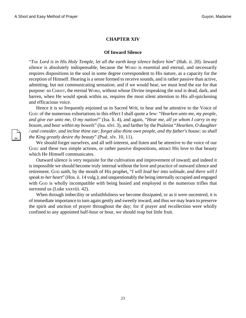#### **CHAPTER XIV**

#### **Of Inward Silence**

<span id="page-26-5"></span><span id="page-26-0"></span>"*THE Lord is in His Holy Temple, let all the earth keep silence before him*" ([Hab. ii. 20\)](http://www.ccel.org/b/bible/asv/xml/asv.Hab.2.xml#Hab.2.20). Inward silence is absolutely indispensable, because the WORD is essential and eternal, and necessarily requires dispositions in the soul in some degree correspondent to His nature, as a capacity for the reception of Himself. Hearing is a sense formed to receive sounds, and is rather passive than active, admitting, but not communicating sensation; and if we would hear, we must lend the ear for that purpose: so CHRIST, the eternal WORD, without whose Divine inspeaking the soul is dead, dark, and barren, when He would speak within us, requires the most silent attention to His all-quickening and efficacious voice.

<span id="page-26-7"></span><span id="page-26-3"></span><span id="page-26-2"></span><span id="page-26-1"></span>Hence it is so frequently enjoined us in Sacred Writ, to hear and be attentive to the Voice of GOD: of the numerous exhortations to this effect I shall quote a few: "*Hearken unto me, my people, and give ear unto me, O my nation!*" ([Isa. li. 4](http://www.ccel.org/b/bible/asv/xml/asv.Isa.51.xml#Isa.51.4)), and again, "*Hear me, all ye whom I carry in my bosom, and bear within my bowels*" ([Isa. xlvi. 3](http://www.ccel.org/b/bible/asv/xml/asv.Isa.46.xml#Isa.46.3)), and farther by the Psalmist "*Hearken, O daughter / and consider, and incline thine ear; forget also thine own people, and thy father's house; so shall the King greatly desire thy beauty*" [\(Psal. xlv. 10, 11\)](http://www.ccel.org/b/bible/asv/xml/asv.Ps.45.xml#Ps.45.10 Bible:Ps.45.11).

We should forget ourselves, and all self-interest, and listen and be attentive to the voice of our GOD: and these two simple actions, or rather passive dispositions, attract His love to that beauty which He Himself communicates.

<span id="page-26-6"></span><span id="page-26-4"></span>Outward silence is very requisite for the cultivation and improvement of inward; and indeed it is impossible we should become truly internal without the love and practice of outward silence and retirement. GOD saith, by the mouth of His prophet, "*I will lead her into solitude, and there will I speak to her heart*" [\(Hos. ii. 14](http://www.ccel.org/b/bible/asv/xml/asv.Hos.2.xml#Hos.2.14) vulg.); and unquestionably the being internally occupied and engaged with Gop is wholly incompatible with being busied and employed in the numerous trifles that surround us [\(Luke xxxviii. 42\)](http://www.ccel.org/b/bible/asv/xml/asv.Luke.38.xml#Luke.38.42).

When through imbecility or unfaithfulness we become dissipated, or as it were uncentred, it is of immediate importance to turn again gently and sweetly inward; and thus we may learn to preserve the spirit and unction of prayer throughout the day; for if prayer and recollection were wholly confined to any appointed half-hour or hour, we should reap but little fruit.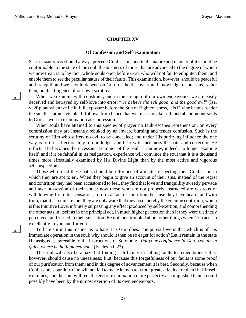#### **CHAPTER XV**

#### **Of Confession and Self-examination**

<span id="page-27-0"></span>SELF-EXAMINATION should always precede Confession, and in the nature and manner of it should be conformable to the state of the soul: the business of those that are advanced to the degree of which we now treat, is to lay their whole souls open before GOD, who will not fail to enlighten them, and enable them to see the peculiar nature of their faults. This examination, however, should be peaceful and tranquil, and we should depend on GOD for the discovery and knowledge of our sins, rather than, on the diligence of our own scrutiny.

<span id="page-27-2"></span>When we examine with constraint, and in the strength of our own endeavours, we are easily deceived and betrayed by self-love into error; "*we believe the evil good, and the good evil*" ([Isa.](http://www.ccel.org/b/bible/asv/xml/asv.Isa.5.xml#Isa.5.20) [v. 20\)](http://www.ccel.org/b/bible/asv/xml/asv.Isa.5.xml#Isa.5.20); but when we lie in full exposure before the Sun of Righteousness, His Divine beams render the smallest atoms visible. It follows from hence that we must forsake self, and abandon our souls to GOD as well in examination as Confession.

When souls have attained to this species of prayer no fault escapes reprehension; on every commission they are instantly rebuked by an inward burning and tender confusion. Such is the scrutiny of Him who suffers no evil to be concealed; and under His purifying influence the one way is to turn affectionately to our Judge, and bear with meekness the pain and correction He inflicts. He becomes the incessant Examiner of the soul; it can now, indeed, no longer examine itself, and if it be faithful in its resignation, experience will convince the soul that it is a thousand times more effectually examined by His Divine Light than by the most active and vigorous self-inspection.

Those who tread these paths should be informed of a matter respecting their Confession in which they are apt to err. When they begin to give an account of their sins, instead of the regret and contrition they had been accustomed to feel, they find that love and tranquillity sweetly pervade and take possession of their souls: now those who are not properly instructed are desirous of withdrawing from this sensation, to form an act of contrition, because they have heard, and with truth, that it is requisite: but they are not aware that they lose thereby the genuine contrition, which is this Intuitive Love, infinitely surpassing any effect produced by self-exertion, and comprehending the other acts in itself as in one principal act, in much higher perfection than if they were distinctly perceived, and varied in their sensation. Be not then troubled about other things when GOD acts so excellently in you and for you.

<span id="page-27-4"></span><span id="page-27-1"></span>To hate sin in this manner is to hate it as GOD does. The purest love is that which is of His immediate operation in the soul: why should it then be so eager for action? Let it remain in the state He assigns it, agreeable to the instructions of Solomon: "*Put your confidence in GOD; remain in quiet, where he hath placed you*" ([Eccles. xi. 22](http://www.ccel.org/b/bible/asv/xml/asv.Eccl.11.xml#Eccl.11.22)).

The soul will also be amazed at finding a difficulty in calling faults to remembrance: this, however, should cause no uneasiness; first, because this forgetfulness of our faults is some proof of our purification from them; and in this degree of advancement it is best. Secondly, because when Confession is our duty GOD will not fail to make known to us our greatest faults, for then He Himself examines, and the soul will feel the end of examination more perfectly accomplished than it could possibly have been by the utmost exertion of its own endeavours.

<span id="page-27-3"></span>[35](http://www.ccel.org/ccel/guyon/prayer/png/0035=35.htm)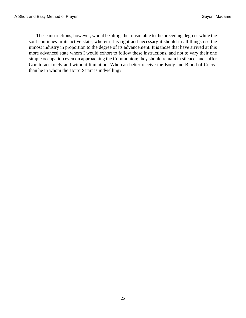These instructions, however, would be altogether unsuitable to the preceding degrees while the soul continues in its active state, wherein it is right and necessary it should in all things use the utmost industry in proportion to the degree of its advancement. It is those that have arrived at this more advanced state whom I would exhort to follow these instructions, and not to vary their one simple occupation even on approaching the Communion; they should remain in silence, and suffer GOD to act freely and without limitation. Who can better receive the Body and Blood of CHRIST than he in whom the HOLY SPIRIT is indwelling?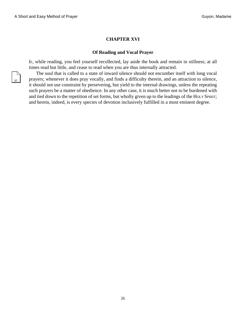#### **CHAPTER XVI**

#### **Of Reading and Vocal Prayer**

<span id="page-29-1"></span><span id="page-29-0"></span>IF, while reading, you feel yourself recollected, lay aside the book and remain in stillness; at all times read but little, and cease to read when you are thus internally attracted.

The soul that is called to a state of inward silence should not encumber itself with long vocal prayers; whenever it does pray vocally, and finds a difficulty therein, and an attraction to silence, it should not use constraint by persevering, but yield to the internal drawings, unless the repeating such prayers be a matter of obedience. In any other case, it is much better not to be burdened with and tied down to the repetition of set forms, but wholly given up to the leadings of the HOLY SPIRIT; and herein, indeed, is every species of devotion inclusively fulfilled in a most eminent degree.

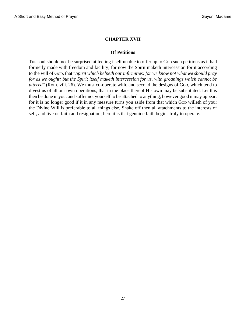#### **CHAPTER XVII**

#### **Of Petitions**

<span id="page-30-1"></span><span id="page-30-0"></span>THE soul should not be surprised at feeling itself unable to offer up to GOD such petitions as it had formerly made with freedom and facility; for now the Spirit maketh intercession for it according to the will of GOD, that "*Spirit which helpeth our infirmities: for we know not what we should pray for as we ought; but the Spirit itself maketh intercession for us, with groanings which cannot be uttered*" [\(Rom. viii. 26](http://www.ccel.org/b/bible/asv/xml/asv.Rom.8.xml#Rom.8.26)). We must co-operate with, and second the designs of GoD, which tend to divest us of all our own operations, that in the place thereof His own may be substituted. Let this then be done in you, and suffer not yourself to be attached to anything, however good it may appear; for it is no longer good if it in any measure turns you aside from that which Gop willeth of you: the Divine Will is preferable to all things else. Shake off then all attachments to the interests of self, and live on faith and resignation; here it is that genuine faith begins truly to operate.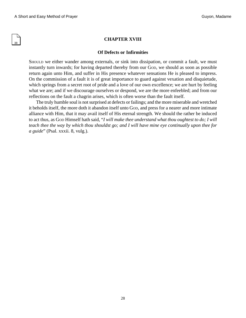#### **CHAPTER XVIII**

#### **Of Defects or Infirmities**

<span id="page-31-2"></span><span id="page-31-0"></span>SHOULD we either wander among externals, or sink into dissipation, or commit a fault, we must instantly turn inwards; for having departed thereby from our GoD, we should as soon as possible return again unto Him, and suffer in His presence whatever sensations He is pleased to impress. On the commission of a fault it is of great importance to guard against vexation and disquietude, which springs from a secret root of pride and a love of our own excellence; we are hurt by feeling what we are; and if we discourage ourselves or despond, we are the more enfeebled; and from our reflections on the fault a chagrin arises, which is often worse than the fault itself.

<span id="page-31-1"></span>The truly humble soul is not surprised at defects or failings; and the more miserable and wretched it beholds itself, the more doth it abandon itself unto GOD, and press for a nearer and more intimate alliance with Him, that it may avail itself of His eternal strength. We should the rather be induced to act thus, as GOD Himself hath said, "*I will make thee understand what thou oughtest to do; I will teach thee the way by which thou shouldst go; and I will have mine eye continually upon thee for a guide*" ([Psal. xxxii. 8,](http://www.ccel.org/b/bible/asv/xml/asv.Ps.32.xml#Ps.32.8) vulg.).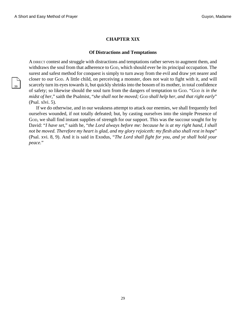#### **CHAPTER XIX**

#### **Of Distractions and Temptations**

<span id="page-32-3"></span><span id="page-32-0"></span>A DIRECT contest and struggle with distractions and temptations rather serves to augment them, and withdraws the soul from that adherence to GoD, which should ever be its principal occupation. The surest and safest method for conquest is simply to turn away from the evil and draw yet nearer and closer to our GOD. A little child, on perceiving a monster, does not wait to fight with it, and will scarcely turn its eyes towards it, but quickly shrinks into the bosom of its mother, in total confidence of safety; so likewise should the soul turn from the dangers of temptation to GOD. "*GOD is in the midst of her,*" saith the Psalmist, "*she shall not be moved; GOD shall help her, and that right early*" ([Psal. xlvi. 5\)](http://www.ccel.org/b/bible/asv/xml/asv.Ps.46.xml#Ps.46.5).

<span id="page-32-2"></span><span id="page-32-1"></span>If we do otherwise, and in our weakness attempt to attack our enemies, we shall frequently feel ourselves wounded, if not totally defeated; but, by casting ourselves into the simple Presence of GOD, we shall find instant supplies of strength for our support. This was the succour sought for by David: "*I have set,*" saith he, "*the Lord always before me: because he is at my right hand, I shall not be moved. Therefore my heart is glad, and my glory rejoiceth: my flesh also shall rest in hope*" ([Psal. xvi. 8, 9\)](http://www.ccel.org/b/bible/asv/xml/asv.Ps.16.xml#Ps.16.8 Bible:Ps.16.9). And it is said in Exodus, "*The Lord shall fight for you, and ye shall hold your peace.*"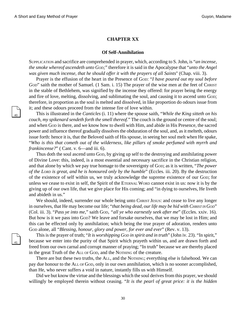#### **CHAPTER XX**

#### **Of Self-Annihilation**

<span id="page-33-6"></span><span id="page-33-0"></span>SUPPLICATION and sacrifice are comprehended in prayer, which, according to S. John, is "*an incense, the smoke whereof ascendeth unto GOD;*" therefore it is said in the Apocalypse that "*unto the Angel was given much incense, that he should offer it with the prayers of all Saints*'' ([Chap. viii. 3\)](http://www.ccel.org/b/bible/asv/xml/asv.Rev.8.xml#Rev.8.3).

Prayer is the effusion of the heart in the Presence of GOD: "*I have poured out my soul before God*" saith the mother of Samuel. ([1 Sam. i. 15](http://www.ccel.org/b/bible/asv/xml/asv...xml#..)) The prayer of the wise men at the feet of CHRIST in the stable of Bethlehem, was signified by the incense they offered: for prayer being the energy and fire of love, melting, dissolving, and sublimating the soul, and causing it to ascend unto GOD; therefore, in proportion as the soul is melted and dissolved, in like proportion do odours issue from it; and these odours proceed from the intense fire of love within.

<span id="page-33-7"></span><span id="page-33-3"></span>This is illustrated in the *Canticles* (i. 11) where the spouse saith, "*While the King sitteth on his couch, my spikenard sendeth forth the smell thereof.*" The couch is the ground or centre of the soul; and when GOD is there, and we know how to dwell with Him, and abide in His Presence, the sacred power and influence thereof gradually dissolves the obduration of the soul, and, as it melteth, odours issue forth: hence it is, that the Beloved saith of His spouse, in seeing her soul melt when He spake, "*Who is this that cometh out of the wilderness, like pillars of smoke perfumed with myrrh and frankincense?*" ( [Cant. v. 6—and iii. 6\)](http://www.ccel.org/b/bible/asv/xml/asv.Song.5.xml#Song.5.6 Bible:Song.3.6).

<span id="page-33-1"></span>Thus doth the soul ascend unto GOD, by giving up self to the destroying and annihilating power of Divine Love: this, indeed, is a most essential and necessary sacrifice in the Christian religion, and that alone by which we pay true homage to the sovereignty of GOD; as it is written, "*The power of the LORD is great, and he is honoured only by the humble*" ([Eccles. iii. 20\)](http://www.ccel.org/b/bible/asv/xml/asv.Eccl.3.xml#Eccl.3.20). By the destruction of the existence of self within us, we truly acknowledge the supreme existence of our GOD; for unless we cease to exist in self, the Spirit of the ETERNAL WORD cannot exist in us: now it is by the giving up of our own life, that we give place for His coming; and "in dying to ourselves, He liveth and abideth in us."

<span id="page-33-8"></span><span id="page-33-5"></span><span id="page-33-4"></span><span id="page-33-2"></span>We should, indeed, surrender our whole being unto CHRIST JESUS: and cease to live any longer in ourselves, that He may become our life; "*that being dead, our life may be hid with CHRIST IN GOD*" ([Col. iii. 3](http://www.ccel.org/b/bible/asv/xml/asv.Col.3.xml#Col.3.3)). "*Pass ye into me,*" saith GOD, *"all ye who earnestly seek after me*" [\(Eccles. xxiv. 16](http://www.ccel.org/b/bible/asv/xml/asv.Eccl.24.xml#Eccl.24.16)). But how is it we pass into GOD? We leave and forsake ourselves, that we may be lost in Him; and this can be effected only by annihilation; which being the true prayer of adoration, renders unto GOD alone, all "*Blessing, honour, glory and power, for ever and ever*" [\(Rev. v. 13\)](http://www.ccel.org/b/bible/asv/xml/asv.Rev.5.xml#Rev.5.13).

This is the prayer of truth; "*It is worshipping GOD in spirit and in truth*" [\(John iv. 23\)](http://www.ccel.org/b/bible/asv/xml/asv.John.4.xml#John.4.23). "In spirit," because we enter into the purity of that Spirit which prayeth within us, and are drawn forth and freed from our own carnal and corrupt manner of praying; "In truth" because we are thereby placed in the great Truth of the ALL OF GOD, and the NOTHING of the creature.

There are but these two truths, the ALL, and the NOTHING; everything else is falsehood. We can pay due honour to the ALL OF GOD, only in our own annihilation, which is no sooner accomplished, than He, who never suffers a void in nature, instantly fills us with Himself.

Did we but know the virtue and the blessings which the soul derives from this prayer, we should willingly be employed therein without ceasing. "*It is the pearl of great price: it is the hidden*

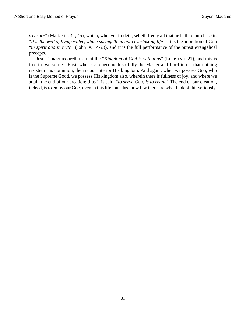<span id="page-34-2"></span><span id="page-34-0"></span>*treasure*" [\(Matt. xiii. 44, 45](http://www.ccel.org/b/bible/asv/xml/asv.Matt.13.xml#Matt.13.44 Bible:Matt.13.45)), which, whoever findeth, selleth freely all that he hath to purchase it: "*It is the well of living water, which springeth up unto everlasting life":* It is the adoration of GOD "*in spirit and in truth*" [\(John iv. 14-23\)](http://www.ccel.org/b/bible/asv/xml/asv.John.4.xml#John.4.14), and it is the full performance of the purest evangelical precepts.

<span id="page-34-1"></span>JESUS CHRIST assureth us, that the "*Kingdom of God is within us*" ([Luke xvii. 21](http://www.ccel.org/b/bible/asv/xml/asv.Luke.17.xml#Luke.17.21)), and this is true in two senses: First, when GOD becometh so fully the Master and Lord in us, that nothing resisteth His dominion; then is our interior His kingdom: And again, when we possess GOD, who is the Supreme Good, we possess His kingdom also, wherein there is fullness of joy, and where we attain the end of our creation: thus it is said, "*to serve GOD, is to reign.*" The end of our creation, indeed, is to enjoy our GOD, even in this life; but alas! how few there are who think of this seriously.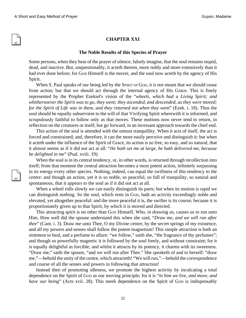#### **CHAPTER XXI**

#### **The Noble Results of this Species of Prayer**

<span id="page-35-5"></span><span id="page-35-0"></span>Some persons, when they hear of the prayer of silence, falsely imagine, that the soul remains stupid, dead, and inactive. But, unquestionably, it acteth therein, more nobly and more extensively than it had ever done before; for GOD Himself is the mover, and the soul now acteth by the agency of His Spirit.

<span id="page-35-3"></span>When S. Paul speaks of our being led by the SPIRIT OF GOD, it is not meant that we should cease from action; but that we should act through the internal agency of His Grace. This is finely represented by the Prophet Ezekiel's vision of the "*wheels, which had a Living Spirit; and whithersoever the Spirit was to go, they went; they ascended, and descended, as they were moved; for the Spirit of Life was in them, and they returned not when they went*" ([Ezek. i. 18](http://www.ccel.org/b/bible/asv/xml/asv.Ezek.1.xml#Ezek.1.18)). Thus the soul should be equally subservient to the will of that Vivifying Spirit wherewith it is informed, and scrupulously faithful to follow only as that moves. These motions now never tend to return, in reflection on the creatures or itself; but go forward, in an incessant approach towards the chief end.

<span id="page-35-1"></span>This action of the soul is attended with the utmost tranquillity. When it acts of itself, the act is forced and constrained; and, therefore, it can the more easily perceive and distinguish it: but when it acteth under the influence of the Spirit of Grace, its action is so free, so easy, and so natural, that it almost seems as if it did not act at all: "*He hath set me at large, he hath delivered me, because he delighted in me*" ([Psal. xviii. 19\)](http://www.ccel.org/b/bible/asv/xml/asv.Ps.18.xml#Ps.18.19).

<span id="page-35-6"></span>When the soul is in its central tendency, or, in other words, is returned through recollection into itself; from that moment the central attraction becomes a most potent action, infinitely surpassing in its energy every other species. Nothing, indeed, can equal the swiftness of this tendency to the centre: and though an action, yet it is so noble, so peaceful, so full of tranquility, so natural and spontaneous, that it appears to the soul as if it did not act at all.

When a wheel rolls slowly we can easily distinguish its parts; but when its motion is rapid we can distinguish nothing. So the soul, which rests in GOD, hath an activity exceedingly noble and elevated, yet altogether peaceful: and the more peaceful it is, the swifter is its course; because it is proportionately given up to that Spirit, by which it is moved and directed.

<span id="page-35-2"></span>This attracting spirit is no other than Gop Himself, Who, in drawing us, causes us to run unto Him. How well did the spouse understand this when she said, "*Draw me, and we will run after thee*" [\(Cant. i. 3](http://www.ccel.org/b/bible/asv/xml/asv.Song.1.xml#Song.1.3)). Draw me unto Thee, O my Divine centre, by the secret springs of my existence, and all my powers and senses shall follow the potent magnetism! This simple attraction is both an ointment to heal, and a perfume to allure: "we follow," saith she, "the fragrance of thy perfumes"; and though so powerfully magnetic it is followed by the soul freely, and without constraint; for it is equally delightful as forcible; and whilst it attracts by its potency, it charms with its sweetness. "Draw me," saith the spouse, "and we will run after Thee." She speaketh of and to herself: "draw me,"—behold the unity of the centre, which attracteth! "We will run,"—behold the correspondence and course of all the senses and powers in following that attraction!

<span id="page-35-4"></span>Instead then of promoting idleness, we promote the highest activity by inculcating a total dependence on the Spirit of GOD as our moving principle; for it is "*in him we live, and move, and have our being*" ([Acts xvii. 28\)](http://www.ccel.org/b/bible/asv/xml/asv.Acts.17.xml#Acts.17.28). This meek dependence on the Spirit of GoD is indispensably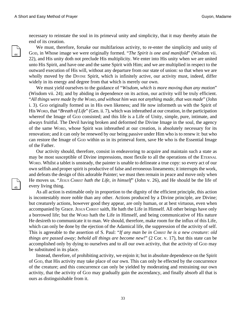necessary to reinstate the soul in its primeval unity and simplicity, that it may thereby attain the end of its creation.

<span id="page-36-6"></span><span id="page-36-4"></span>We must, therefore, forsake our multifarious activity, to re-enter the simplicity and unity of GOD, in Whose image we were originally formed. "*The Spirit is one and manifold*" [\(Wisdom vii.](http://www.ccel.org/b/bible/asv/xml/asv.Wis.7.xml#Wis.7.22) [22](http://www.ccel.org/b/bible/asv/xml/asv.Wis.7.xml#Wis.7.22)), and His unity doth not preclude His multiplicity. We enter into His unity when we are united unto His Spirit, and have one and the same Spirit with Him; and we are multiplied in respect to the outward execution of His will, without any departure from our state of union: so that when we are wholly moved by the DIVINE Spirit, which is infinitely active, our activity must, indeed, differ widely in its energy and degree from that which is merely our own.

<span id="page-36-5"></span><span id="page-36-1"></span><span id="page-36-0"></span>We must yield ourselves to the guidance of "*Wisdom, which is more moving than any motion*" ([Wisdom vii. 24](http://www.ccel.org/b/bible/asv/xml/asv.Wis.7.xml#Wis.7.24)); and by abiding in dependence on its action, our activity will be truly efficient. "*All things were made by the WORD, and without him was not anything made, that was made*" [\(John](http://www.ccel.org/b/bible/asv/xml/asv.John.1.xml#John.1.3) [i. 3\)](http://www.ccel.org/b/bible/asv/xml/asv.John.1.xml#John.1.3). GOD originally formed us in His own likeness; and He now informeth us with the Spirit of His WORD, that "*Breath of Life*" [\(Gen. ii. 7\)](http://www.ccel.org/b/bible/asv/xml/asv.Gen.2.xml#Gen.2.7), which was inbreathed at our creation, in the participation whereof the Image of GOD consisted; and this life is a Life of Unity, simple, pure, intimate, and always fruitful. The Devil having broken and deformed the Divine Image in the soul, the agency of the same WORD, whose Spirit was inbreathed at our creation, is absolutely necessary for its renovation; and it can only be renewed by our being passive under Him who is to renew it: but who can restore the Image of GOD within us in its primeval form, save He who is the Essential Image of the Father.

<span id="page-36-7"></span><span id="page-36-2"></span>Our activity should, therefore, consist in endeavoring to acquire and maintain such a state as may be most susceptible of Divine impressions, most flexile to all the operations of the ETERNAL WORD. Whilst a tablet is unsteady, the painter is unable to delineate a true copy: so every act of our own selfish and proper spirit is productive of false and erroneous lineaments; it interrupts the work, and defeats the design of this adorable Painter; we must then remain in peace and move only when He moves us. "*JESUS CHRIST hath the Life, in himself*" [\(John v. 26](http://www.ccel.org/b/bible/asv/xml/asv.John.5.xml#John.5.26)), and He should be the life of every living thing.

<span id="page-36-3"></span>As all action is estimable only in proportion to the dignity of the efficient principle, this action is incontestably more noble than any other. Actions produced by a Divine principle, are Divine; but creaturely actions, however good they appear, are only human, or at best virtuous, even when accompanied by Grace. JESUS CHRIST saith, He hath the Life in Himself. All other beings have only a borrowed life; but the WORD hath the Life in Himself, and being communicative of His nature He desireth to communicate it to man. We should, therefore, make room for the influx of this Life, which can only be done by the ejection of the Adamical life, the suppression of the activity of self. This is agreeable to the assertion of S. Paul: "*If any man be in CHRIST he is a new creature: old things are passed away; behold all things are become new!*" [\(2 Cor. v. 17\)](http://www.ccel.org/b/bible/asv/xml/asv.iiCor.5.xml#iiCor.5.17), but this state can be accomplished only by dying to ourselves and to all our own activity, that the activity of GOD may be substituted in its place.

Instead, therefore, of prohibiting activity, we enjoin it; but in absolute dependence on the Spirit of GOD, that His activity may take place of our own. This can only be effected by the concurrence of the creature; and this concurrence can only be yielded by moderating and restraining our own activity, that the activity of GOD may gradually gain the ascendancy, and finally absorb all that is ours as distinguishable from it.

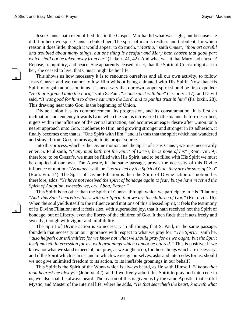<span id="page-37-1"></span>JESUS CHRIST hath exemplified this in the Gospel: Martha did what was right; but because she did it in her own spirit CHRIST rebuked her. The spirit of man is restless and turbulent; for which reason it does little, though it would appear to do much. "*Martha,"* saith CHRIST, "*thou art careful and troubled about many things, but one thing is needful; and Mary hath chosen that good part which shall not be taken away from her*" [\(Luke x. 41, 42](http://www.ccel.org/b/bible/asv/xml/asv.Luke.10.xml#Luke.10.41 Bible:Luke.10.42)). And what was it that Mary had chosen? Repose, tranquillity, and peace. She apparently ceased to act, that the Spirit of CHRIST might act in her; she ceased to live, that CHRIST might be her life.

<span id="page-37-7"></span><span id="page-37-6"></span><span id="page-37-0"></span>This shows us how necessary it is to renounce ourselves and all our own activity, to follow JESUS CHRIST; and we cannot follow Him without being animated with His Spirit. Now that His Spirit may gain admission in us it is necessary that our own proper spirit should be first expelled: "*He that is joined unto the Lord,*" saith S. Paul, "*is one spirit with him*" [\(1 Cor. vi. 17](http://www.ccel.org/b/bible/asv/xml/asv.iCor.6.xml#iCor.6.17)); and David said, "*It was good for him to draw near unto the Lord, and to put his trust in him*" [\(Ps. lxxiii. 28](http://www.ccel.org/b/bible/asv/xml/asv.Ps.73.xml#Ps.73.28)). This drawing near unto Gop, is the beginning of Union.

Divine Union has its commencement, its progression, and its consummation. It is first an inclination and tendency towards GOD: when the soul is introverted in the manner before described, it gets within the influence of the central attraction, and acquires an eager desire after Union: on a nearer approach unto GOD, it adheres to Him; and growing stronger and stronger in its adhesion, it finally becomes one; that is, "One Spirit with Him:" and it is thus that the spirit which had wandered and strayed from GOD, returns again to its proper source.

<span id="page-37-4"></span><span id="page-37-3"></span>Into this process, which is the Divine motion, and the Spirit of JESUS CHRIST, we must necessarily enter. S. Paul saith, "*If any man hath not the Spirit of CHRIST, he is none of his*" ([Rom. viii. 9\)](http://www.ccel.org/b/bible/asv/xml/asv.Rom.8.xml#Rom.8.9): therefore, to be CHRIST'S, we must be filled with His Spirit, and to be filled with His Spirit we must be emptied of our own. The Apostle, in the same passage, proves the necessity of this Divine influence or motion: "*As many*" saith he, "*as are led by the Spirit of GOD, they are the sons of GOD*" ([Rom. viii. 14](http://www.ccel.org/b/bible/asv/xml/asv.Rom.8.xml#Rom.8.14)). The Spirit of Divine Filiation is then the Spirit of Divine action or motion: he, therefore, adds, "*Ye have not received the spirit of bondage again to fear; but ye have received the Spirit of Adoption, whereby we, cry, Abba, Father.*"

<span id="page-37-8"></span><span id="page-37-5"></span>This Spirit is no other than the Spirit of CHRIST, through which we participate in His Filiation; "*And this Spirit beareth witness with our Spirit, that we are the children of GOD"* ([Rom. viii. 16](http://www.ccel.org/b/bible/asv/xml/asv.Rom.8.xml#Rom.8.16)). When the soul yields itself to the influence and motions of this Blessed Spirit, it feels the testimony of its Divine Filiation; and it feels also, with superadded joy, that it hath received not the Spirit of bondage, but of Liberty, even the liberty of the children of GOD. It then finds that it acts freely and sweetly, though with vigour and infallibility.

<span id="page-37-2"></span>The Spirit of Divine action is so necessary in all things, that S. Paul, in the same passage, foundeth that necessity on our ignorance with respect to what we pray for: *"The Spirit,"* saith he, *"also helpeth our infirmities: for we know not what we should pray for as we ought; but the Spirit itself maketh intercession for us, with groanings which cannot be uttered."* This is positive; if we know not what we stand in need of, nor pray, as we ought to do, for those things which are necessary; and if the Spirit which is in us, and to which we resign ourselves, asks and intercedes for us; should we not give unlimited freedom to its action, to its ineffable groanings in our behalf?

This Spirit is the Spirit of the WORD which is always heard, as He saith Himself: "*I know that thou hearest me always"* ([John xi. 42\)](http://www.ccel.org/b/bible/asv/xml/asv.John.11.xml#John.11.42); and if we freely admit this Spirit to pray and intercede in us, we also shall be always heard. The reason of this is given us by the same Apostle, that skilful Mystic, and Master of the Internal life, where he adds, *"He that searcheth the heart, knoweth what*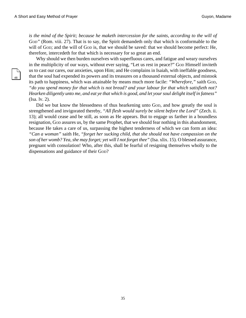<span id="page-38-3"></span>*is the mind of the Spirit; because he maketh intercession for the saints, according to the will of God*<sup>"</sup> ([Rom. viii. 27](http://www.ccel.org/b/bible/asv/xml/asv.Rom.8.xml#Rom.8.27)). That is to say, the Spirit demandeth only that which is conformable to the will of GoD; and the will of GoD is, that we should be saved: that we should become perfect: He, therefore, intercedeth for that which is necessary for so great an end.



<span id="page-38-4"></span>Why should we then burden ourselves with superfluous cares, and fatigue and weary ourselves in the multiplicity of our ways, without ever saying, "Let us rest in peace?" God Himself inviteth us to cast our cares, our anxieties, upon Him; and He complains in Isaiah, with ineffable goodness, that the soul had expended its powers and its treasures on a thousand external objects, and mistook its path to happiness, which was attainable by means much more facile: *"Wherefore,"* saith GOD, *"do you spend money for that which is not bread? and your labour for that which satisfieth not? Hearken diligently unto me, and eat ye that which is good, and let your soul delight itself in fatness"* ([Isa. lv. 2](http://www.ccel.org/b/bible/asv/xml/asv.Isa.55.xml#Isa.55.2)).

<span id="page-38-2"></span><span id="page-38-1"></span><span id="page-38-0"></span>Did we but know the blessedness of thus hearkening unto GOD, and how greatly the soul is strengthened and invigorated thereby, *"All flesh would surely be silent before the Lord"* [\(Zech. ii.](http://www.ccel.org/b/bible/asv/xml/asv.Zech.2.xml#Zech.2.13) [13](http://www.ccel.org/b/bible/asv/xml/asv.Zech.2.xml#Zech.2.13)); all would cease and be still, as soon as He appears. But to engage us farther in a boundless resignation, GOD assures us, by the same Prophet, that we should fear nothing in this abandonment, because He takes a care of us, surpassing the highest tenderness of which we can form an idea: *"Can a woman"* saith He, *"forget her sucking child, that she should not have compassion on the son of her womb? Yea, she may forget; yet will I not forget thee"* ([Isa. xlix. 15\)](http://www.ccel.org/b/bible/asv/xml/asv.Isa.49.xml#Isa.49.15). O blessed assurance, pregnant with consolation! Who, after this, shall be fearful of resigning themselves wholly to the dispensations and guidance of their GOD?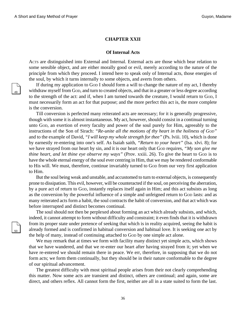#### **CHAPTER XXII**

#### **Of Internal Acts**

<span id="page-39-0"></span>ACTS are distinguished into External and Internal. External acts are those which bear relation to some sensible object, and are either morally good or evil, merely according to the nature of the principle from which they proceed. I intend here to speak only of Internal acts, those energies of the soul, by which it turns internally to some objects, and averts from others.

<span id="page-39-4"></span>If during my application to GOD I should form a will to change the nature of my act, I thereby withdraw myself from GoD, and turn to created objects, and that in a greater or less degree according to the strength of the act: and if, when I am turned towards the creature, I would return to GOD, I must necessarily form an act for that purpose; and the more perfect this act is, the more complete is the conversion.

<span id="page-39-3"></span><span id="page-39-2"></span><span id="page-39-1"></span>Till conversion is perfected many reiterated acts are necessary; for it is generally progressive, though with some it is almost instantaneous. My act, however, should consist in a continual turning unto GOD, an exertion of every faculty and power of the soul purely for Him, agreeably to the instructions of the Son of Sirach: *"Re-unite all the motions of thy heart in the holiness of GOD"* and to the example of David, *"I will keep my whole strength for thee"* [\(Ps. lviii. 10](http://www.ccel.org/b/bible/asv/xml/asv.Ps.58.xml#Ps.58.10)), which is done by earnestly re-entering into one's self. As Isaiah saith, *"Return to your heart"* [\(Isa. xlvi. 8](http://www.ccel.org/b/bible/asv/xml/asv.Isa.46.xml#Isa.46.8)); for we have strayed from our heart by sin, and it is our heart only that Go<sub>D</sub> requires, *"My son give me thine heart, and let thine eye observe my ways"* [\(Prov. xxiii. 26](http://www.ccel.org/b/bible/asv/xml/asv.Prov.23.xml#Prov.23.26)). To give the heart to GOD is to have the whole eternal energy of the soul ever centring in Him, that we may be rendered conformable to His will. We must, therefore, continue invariably turned to GOD from our very first application to Him.

But the soul being weak and unstable, and accustomed to turn to external objects, is consequently prone to dissipation. This evil, however, will be counteracted if the soul, on perceiving the aberration, by a pure act of return to GOD, instantly replaces itself again in Him; and this act subsists as long as the conversion by the powerful influence of a simple and unfeigned return to GOD lasts: and as many reiterated acts form a habit, the soul contracts the habit of conversion, and that act which was before interrupted and distinct becomes continual.

<span id="page-39-5"></span>The soul should not then be perplexed about forming an act which already subsists, and which, indeed, it cannot attempt to form without difficulty and constraint; it even finds that it is withdrawn from its proper state under pretence of seeking that which is in reality acquired, seeing the habit is already formed and is confirmed in habitual conversion and habitual love. It is seeking one act by the help of many, instead of continuing attached to GOD by one simple act alone.

We may remark that at times we form with facility many distinct yet simple acts, which shows that we have wandered, and that we re-enter our heart after having strayed from it; yet when we have re-entered we should remain there in peace. We err, therefore, in supposing that we do not form acts; we form them continually, but they should be in their nature conformable to the degree of our spiritual advancement.

The greatest difficulty with most spiritual people arises from their not clearly comprehending this matter. Now some acts are transient and distinct, others are continual; and again, some are direct, and others reflex. All cannot form the first, neither are all in a state suited to form the last.

[49](http://www.ccel.org/ccel/guyon/prayer/png/0049=49.htm)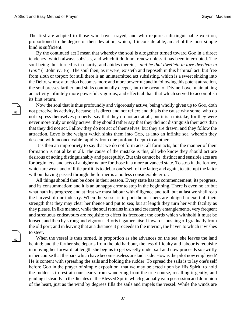[52](http://www.ccel.org/ccel/guyon/prayer/png/0052=52.htm)

The first are adapted to those who have strayed, and who require a distinguishable exertion, proportioned to the degree of their deviation, which, if inconsiderable, an act of the most simple kind is sufficient.

<span id="page-40-0"></span>By the continued act I mean that whereby the soul is altogether turned toward Gop in a direct tendency, which always subsists, and which it doth not renew unless it has been interrupted. The soul being thus turned is in charity, and abides therein, *"and he that dwelleth in love dwelleth in GoD*<sup>"</sup> ([1 John iv. 16](http://www.ccel.org/b/bible/asv/xml/asv.iJohn.4.xml#iJohn.4.16)). The soul then, as it were, existeth and reposeth in this habitual act, but free from sloth or torpor; for still there is an unintermitted act subsisting, which is a sweet sinking into the Deity, whose attraction becomes more and more powerful; and in following this potent attraction, the soul presses farther, and sinks continually deeper, into the ocean of Divine Love, maintaining an activity infinitely more powerful, vigorous, and effectual than that which served to accomplish its first return.

<span id="page-40-1"></span>Now the soul that is thus profoundly and vigorously active, being wholly given up to GOD, doth not perceive its activity, because it is direct and not reflex; and this is the cause why some, who do not express themselves properly, say that they do not act at all; but it is a mistake, for they were never more truly or nobly active: they should rather say that they did not distinguish their acts than that they did not act. I allow they do not act of themselves, but they are drawn, and they follow the attraction. Love is the weight which sinks them into GOD, as into an infinite sea, wherein they descend with inconceivable rapidity from one profound depth to another.

It is then an impropriety to say that we do not form acts: all form acts, but the manner of their formation is not alike in all. The cause of the mistake is this, all who know they should act are desirous of acting distinguishably and perceptibly. But this cannot be; distinct and sensible acts are for beginners, and acts of a higher nature for those in a more advanced state. To stop in the former, which are weak and of little profit, is to debar one's self of the latter; and again, to attempt the latter without having passed through the former is a no less considerable error.

<span id="page-40-2"></span>All things should then be done in their season. Every state has its commencement, its progress, and its consummation; and it is an unhappy error to stop in the beginning. There is even no art but what hath its progress; and at first we must labour with diligence and toil, but at last we shall reap the harvest of our industry. When the vessel is in port the mariners are obliged to exert all their strength that they may clear her thence and put to sea; but at length they turn her with facility as they please. In like manner, while the soul remains in sin and creaturely entanglements, very frequent and strenuous endeavours are requisite to effect its freedom; the cords which withhold it must be loosed; and then by strong and vigorous efforts it gathers itself inwards, pushing off gradually from the old port; and in leaving that at a distance it proceeds to the interior, the haven to which it wishes to steer.

When the vessel is thus turned, in proportion as she advances on the sea, she leaves the land behind; and the farther she departs from the old harbour, the less difficulty and labour is requisite in moving her forward: at length she begins to get sweetly under sail and now proceeds so swiftly in her course that the oars which have become useless are laid aside. How is the pilot now employed? He is content with spreading the sails and holding the rudder. To spread the sails is to lay one's self before GOD in the prayer of simple exposition, that we may be acted upon by His Spirit: to hold the rudder is to restrain our hearts from wandering from the true course, recalling it gently, and guiding it steadily to the dictates of the Blessed Spirit, which gradually gain possession and dominion of the heart, just as the wind by degrees fills the sails and impels the vessel. While the winds are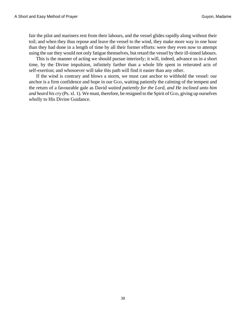fair the pilot and mariners rest from their labours, and the vessel glides rapidly along without their toil; and when they thus repose and leave the vessel to the wind, they make more way in one hour than they had done in a length of time by all their former efforts: were they even now to attempt using the oar they would not only fatigue themselves, but retard the vessel by their ill-timed labours.

This is the manner of acting we should pursue interiorly; it will, indeed, advance us in a short time, by the Divine impulsion, infinitely farther than a whole life spent in reiterated acts of self-exertion; and whosoever will take this path will find it easier than any other.

<span id="page-41-0"></span>If the wind is contrary and blows a storm, we must cast anchor to withhold the vessel: our anchor is a firm confidence and hope in our GOD, waiting patiently the calming of the tempest and the return of a favourable gale as David *waited patiently for the Lord, and He inclined unto him and heard his cry* [\(Ps. xl. 1\)](http://www.ccel.org/b/bible/asv/xml/asv.Ps.40.xml#Ps.40.1). We must, therefore, be resigned to the Spirit of GOD, giving up ourselves wholly to His Divine Guidance.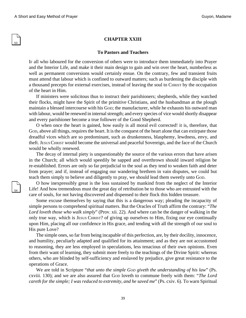#### **CHAPTER XXIII**

#### **To Pastors and Teachers**

<span id="page-42-4"></span><span id="page-42-0"></span>IF all who laboured for the conversion of others were to introduce them immediately into Prayer and the Interior Life, and make it their main design to gain and win over the heart, numberless as well as permanent conversions would certainly ensue. On the contrary, few and transient fruits must attend that labour which is confined to outward matters; such as burdening the disciple with a thousand precepts for external exercises, instead of leaving the soul to CHRIST by the occupation of the heart in Him.

If ministers were solicitous thus to instruct their parishioners; shepherds, while they watched their flocks, might have the Spirit of the primitive Christians, and the husbandman at the plough maintain a blessed intercourse with his GOD; the manufacturer, while he exhausts his outward man with labour, would be renewed in internal strength; and every species of vice would shortly disappear and every parishioner become a true follower of the Good Shepherd.

O when once the heart is gained, how easily is all moral evil corrected! it is, therefore, that GOD, above all things, requires the heart. It is the conquest of the heart alone that can extirpate those dreadful vices which are so predominant, such as drunkenness, blasphemy, lewdness, envy, and theft. JESUS CHRIST would become the universal and peaceful Sovereign, and the face of the Church would be wholly renewed.

<span id="page-42-5"></span>The decay of internal piety is unquestionably the source of the various errors that have arisen in the Church; all which would speedily be sapped and overthrown should inward religion be re-established. Errors are only so far prejudicial to the soul as they tend to weaken faith and deter from prayer; and if, instead of engaging our wandering brethren in vain disputes, we could but teach them simply to believe and diligently to pray, we should lead them sweetly unto GOD.

<span id="page-42-3"></span>O how inexpressibly great is the loss sustained by mankind from the neglect of the Interior Life! And how tremendous must the great day of retribution be to those who are entrusted with the care of souls, for not having discovered and dispensed to their flock this hidden treasure.

Some excuse themselves by saying that this is a dangerous way; pleading the incapacity of simple persons to comprehend spiritual matters. But the Oracles of Truth affirm the contrary: "*The Lord loveth those who walk simply*" ([Prov. xii. 22](http://www.ccel.org/b/bible/asv/xml/asv.Prov.12.xml#Prov.12.22)). And where can be the danger of walking in the only true way, which is JESUS CHRIST? of giving up ourselves to Him, fixing our eye continually upon Him, placing all our confidence in His grace, and tending with all the strength of our soul to His pure Love?

<span id="page-42-2"></span>The simple ones, so far from being incapable of this perfection, are, by their docility, innocence, and humility, peculiarly adapted and qualified for its attainment; and as they are not accustomed to reasoning, they are less employed in speculations, less tenacious of their own opinions. Even from their want of learning, they submit more freely to the teachings of the Divine Spirit: whereas others, who are blinded by self-sufficiency and enslaved by prejudice, give great resistance to the operations of Grace.

<span id="page-42-1"></span>We are told in Scripture "*that unto the simple GOD giveth the understanding of his law*" ([Ps.](http://www.ccel.org/b/bible/asv/xml/asv.Ps.18.xml#Ps.18.130) [cxviii. 130](http://www.ccel.org/b/bible/asv/xml/asv.Ps.18.xml#Ps.18.130)); and we are also assured that GOD loveth to commune freely with them: "*The Lord careth for the simple; I was reduced to extremity, and he saved me*" ([Ps. cxiv. 6\)](http://www.ccel.org/b/bible/asv/xml/asv.Ps.14.xml#Ps.14.6). To warn Spiritual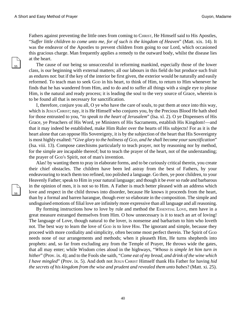<span id="page-43-5"></span>Fathers against preventing the little ones from coming to CHRIST, He Himself said to His Apostles, "*Suffer little children to come unto me, for of such is the kingdom of Heaven*" ([Matt. xix. 14](http://www.ccel.org/b/bible/asv/xml/asv.Matt.19.xml#Matt.19.14)). It was the endeavor of the Apostles to prevent children from going to our Lord, which occasioned this gracious charge. Man frequently applies a remedy to the outward body, whilst the disease lies at the heart.

<span id="page-43-6"></span>The cause of our being so unsuccessful in reforming mankind, especially those of the lower class, is our beginning with external matters; all our labours in this field do but produce such fruit as endures not: but if the key of the interior be first given, the exterior would be naturally and easily reformed. To teach man to seek GOD in his heart, to think of Him, to return to Him whenever he finds that he has wandered from Him, and to do and to suffer all things with a single eye to please Him, is the natural and ready process; it is leading the soul to the very source of Grace, wherein is to be found all that is necessary for sanctification.

<span id="page-43-3"></span><span id="page-43-2"></span>I, therefore, conjure you all, O ye who have the care of souls, to put them at once into this way, which is JESUS CHRIST; nay, it is He Himself who conjures you, by the Precious Blood He hath shed for those entrusted to you, "*to speak to the heart of Jerusalem*" ([Isa. xl. 2\)](http://www.ccel.org/b/bible/asv/xml/asv.Isa.40.xml#Isa.40.2). O ye Dispensers of His Grace, ye Preachers of His Word, ye Ministers of His Sacraments, establish His Kingdom!—and that it may indeed be established, make Him Ruler over the hearts of His subjects! For as it is the heart alone that can oppose His Sovereignty, it is by the subjection of the heart that His Sovereignty is most highly exalted: "*Give glory to the holiness of GOD, and he shall become your sanctification*" ([Isa. viii. 13\)](http://www.ccel.org/b/bible/asv/xml/asv.Isa.8.xml#Isa.8.13). Compose catechisms particularly to teach prayer, not by reasoning nor by method, for the simple are incapable thereof; but to teach the prayer of the heart, not of the understanding; the prayer of GOD'S Spirit, not of man's invention.

<span id="page-43-7"></span>Alas! by wanting them to pray in elaborate forms, and to be curiously critical therein, you create their chief obstacles. The children have been led astray from the best of Fathers, by your endeavouring to teach them too refined, too polished a language. Go then, ye poor children, to your Heavenly Father; speak to Him in your natural language; and though it be ever so rude and barbarous in the opinion of men, it is not so to Him. A Father is much better pleased with an address which love and respect in the child throws into disorder, because He knows it proceeds from the heart, than by a formal and barren harangue, though ever so elaborate in the composition. The simple and undisguised emotions of filial love are infinitely more expressive than all language and all reasoning.

<span id="page-43-4"></span><span id="page-43-1"></span><span id="page-43-0"></span>By forming instructions how to love by rule and method the ESSENTIAL LOVE, men have in a great measure estranged themselves from Him. O how unnecessary is it to teach an art of loving! The language of Love, though natural to the lover, is nonsense and barbarism to him who loveth not. The best way to learn the love of Gop is to love HIM. The ignorant and simple, because they proceed with more cordiality and simplicity, often become most perfect therein. The Spirit of GOD needs none of our arrangements and methods; when it pleaseth Him, He turns shepherds into prophets: and, so far from excluding any from the Temple of Prayer, He throws wide the gates, that all may enter; while Wisdom cries aloud in the highways, "*Whoso is simple let him turn in hither*" [\(Prov. ix. 4](http://www.ccel.org/b/bible/asv/xml/asv.Prov.9.xml#Prov.9.4)); and to the Fools she saith, "*Come eat of my bread, and drink of the wine which I have mingled*" [\(Prov. ix. 5](http://www.ccel.org/b/bible/asv/xml/asv.Prov.9.xml#Prov.9.5)). And doth not JESUS CHRIST Himself thank His Father for having *hid the secrets of his kingdom from the wise and prudent and revealed them unto babes*? ([Matt. xi. 25](http://www.ccel.org/b/bible/asv/xml/asv.Matt.11.xml#Matt.11.25)).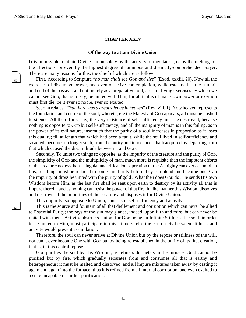[58](http://www.ccel.org/ccel/guyon/prayer/png/0058=58.htm)

#### **CHAPTER XXIV**

#### **Of the way to attain Divine Union**

<span id="page-44-3"></span><span id="page-44-0"></span>IT is impossible to attain Divine Union solely by the activity of meditation, or by the meltings of the affections, or even by the highest degree of luminous and distinctly-comprehended prayer. There are many reasons for this, the chief of which are as follow:—

<span id="page-44-1"></span>First, According to Scripture "*no man shall see GOD and live*" ([Exod. xxxiii. 20\)](http://www.ccel.org/b/bible/asv/xml/asv.Exod.33.xml#Exod.33.20). Now all the exercises of discursive prayer, and even of active contemplation, while esteemed as the summit and end of the passive, and not merely as a preparative to it, are still living exercises by which we cannot see GOD; that is to say, be united with Him; for all that is of man's own power or exertion must first die, be it ever so noble, ever so exalted.

<span id="page-44-2"></span>S. John relates "*That there was a great silence in heaven*" ([Rev. viii. 1\)](http://www.ccel.org/b/bible/asv/xml/asv.Rev.8.xml#Rev.8.1). Now heaven represents the foundation and centre of the soul, wherein, ere the Majesty of GOD appears, all must be hushed to silence. All the efforts, nay, the very existence of self-sufficiency must be destroyed, because nothing is opposite to GOD but self-sufficiency; and all the malignity of man is in this failing, as in the power of its evil nature, insomuch that the purity of a soul increases in proportion as it loses this quality; till at length that which had been a fault, while the soul lived in self-sufficiency and so acted, becomes no longer such, from the purity and innocence it hath acquired by departing from that which caused the dissimilitude between it and GOD.

Secondly, To unite two things so opposite, as the impurity of the creature and the purity of GOD, the simplicity of GOD and the multiplicity of man, much more is requisite than the impotent efforts of the creature: no less than a singular and efficacious operation of the Almighty can ever accomplish this, for things must be reduced to some familiarity before they can blend and become one. Can the impurity of dross be united with the purity of gold? What then does GOD do? He sends His own Wisdom before Him, as the last fire shall be sent upon earth to destroy by its activity all that is impure therein; and as nothing can resist the power of that fire, in like manner this Wisdom dissolves and destroys all the impurities of the creature and disposes it for Divine Union.

<span id="page-44-4"></span>This impurity, so opposite to Union, consists in self-sufficiency and activity.

This is the source and fountain of all that defilement and corruption which can never be allied to Essential Purity; the rays of the sun may glance, indeed, upon filth and mire, but can never be united with them. Activity obstructs Union; for GOD being an Infinite Stillness, the soul, in order to be united to Him, must participate in this stillness, else the contrariety between stillness and activity would prevent assimilation.

Therefore, the soul can never arrive at Divine Union but by the repose or stillness of the will, nor can it ever become One with GOD but by being re-established in the purity of its first creation, that is, in this central repose.

GOD purifies the soul by His Wisdom, as refiners do metals in the furnace. Gold cannot be purified but by fire, which gradually separates from and consumes all that is earthy and heterogeneous: it must be melted and dissolved, and all impure mixtures taken away by casting it again and again into the furnace; thus it is refined from all internal corruption, and even exalted to a state incapable of farther purification.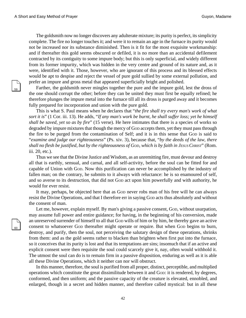The goldsmith now no longer discovers any adulterate mixture; its purity is perfect, its simplicity complete. The fire no longer touches it; and were it to remain an age in the furnace its purity would not be increased nor its substance diminished. Then is it fit for the most exquisite workmanship: and if thereafter this gold seems obscured or defiled, it is no more than an accidental defilement contracted by its contiguity to some impure body; but this is only superficial, and widely different from its former impurity, which was hidden in the very centre and ground of its nature and, as it were, identified with it. Those, however, who are ignorant of this process and its blessed effects would be apt to despise and reject the vessel of pure gold sullied by some external pollution, and prefer an impure and gross metal that appeared superficially bright and polished.

[60](http://www.ccel.org/ccel/guyon/prayer/png/0060=60.htm)

<span id="page-45-3"></span>Farther, the goldsmith never mingles together the pure and the impure gold, lest the dross of the one should corrupt the other; before they can be united they must first be equally refined; he therefore plunges the impure metal into the furnace till all its dross is purged away and it becomes fully prepared for incorporation and union with the pure gold.

<span id="page-45-2"></span><span id="page-45-1"></span><span id="page-45-0"></span>This is what S. Paul means when he declares that "*the fire shall try every man's work of what sort it is*" [\(1 Cor. iii. 13\)](http://www.ccel.org/b/bible/asv/xml/asv...xml#..). He adds, "*If any man's work be burnt, he shall suffer loss; yet he himself shall be saved, yet so as by fire*" ([15 verse](http://www.ccel.org/b/bible/asv/xml/asv.iCor.3.xml#iCor.3.15)). He here intimates that there is a species of works so degraded by impure mixtures that though the mercy of GOD accepts them, yet they must pass through the fire to be purged from the contamination of Self; and it is in this sense that GOD is said to "*examine and judge our righteousness*" ([Ps. xiv. 3](http://www.ccel.org/b/bible/asv/xml/asv.Ps.14.xml#Ps.14.3)), because that, "*by the deeds of the law, there shall no flesh be justified, but by the righteousness of GOD, which is by faith in JESUS CHRIST*" ([Rom.](http://www.ccel.org/b/bible/asv/xml/asv.Rom.3.xml#Rom.3.20) [iii. 20](http://www.ccel.org/b/bible/asv/xml/asv.Rom.3.xml#Rom.3.20), etc.).

Thus we see that the Divine Justice and Wisdom, as an unremitting fire, must devour and destroy all that is earthly, sensual, and carnal, and all self-activity, before the soul can be fitted for and capable of Union with GOD. Now this purification can never be accomplished by the industry of fallen man; on the contrary, he submits to it always with reluctance: he is so enamoured of self, and so averse to its destruction, that did not GOD act upon him powerfully and with authority, he would for ever resist.

<span id="page-45-4"></span>It may, perhaps, be objected here that as GOD never robs man of his free will he can always resist the Divine Operations, and that I therefore err in saying GOD acts thus absolutely and without the consent of man.

Let me, however, explain myself. By man's giving a passive consent, God, without usurpation, may assume full power and entire guidance; for having, in the beginning of his conversion, made an unreserved surrender of himself to all that GOD wills of him or by him, he thereby gave an active consent to whatsoever GOD thereafter might operate or require. But when GOD begins to burn, destroy, and purify, then the soul, not perceiving the salutary design of these operations, shrinks from them: and as the gold seems rather to blacken than brighten when first put into the furnace, so it conceives that its purity is lost and that its temptations are sins; insomuch that if an active and explicit consent were then requisite the soul could scarcely give it, nay, often would withhold it. The utmost the soul can do is to remain firm in a passive disposition, enduring as well as it is able all these Divine Operations, which it neither can nor will obstruct.

In this manner, therefore, the soul is purified from all proper, distinct, perceptible, and multiplied operations which constitute the great dissimilitude between it and GOD: it is rendered, by degrees, conformed, and then uniform; and the passive capacity of the creature is elevated, ennobled, and enlarged, though in a secret and hidden manner, and therefore called mystical: but in all these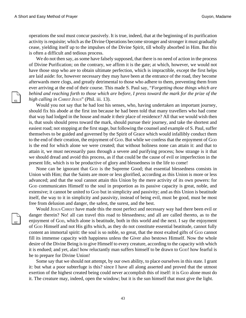[62](http://www.ccel.org/ccel/guyon/prayer/png/0062=62.htm)

operations the soul must concur passively. It is true, indeed, that at the beginning of its purification activity is requisite; which as the Divine Operations become stronger and stronger it must gradually cease, yielding itself up to the impulses of the Divine Spirit, till wholly absorbed in Him. But this is often a difficult and tedious process.

We do not then say, as some have falsely supposed, that there is no need of action in the process of Divine Purification; on the contrary, we affirm it is the gate; at which, however, we would not have those stop who are to obtain ultimate perfection, which is impractible, except the first helps are laid aside: for, however necessary they may have been at the entrance of the road, they become afterwards mere clogs, and greatly detrimental to those who adhere to them, preventing them from ever arriving at the end of their course. This made S. Paul say, "*Forgetting those things which are behind and reaching forth to those which are before, I press toward the mark for the prize of the high calling in CHRIST JESUS*" [\(Phil. iii. 13\)](http://www.ccel.org/b/bible/asv/xml/asv.Phil.3.xml#Phil.3.13).

<span id="page-46-1"></span><span id="page-46-0"></span>Would you not say that he had lost his senses, who, having undertaken an important journey, should fix his abode at the first inn because he had been told that many travellers who had come that way had lodged in the house and made it their place of residence? All that we would wish then is, that souls should press toward the mark, should pursue their journey, and take the shortest and easiest road; not stopping at the first stage, but following the counsel and example of S. Paul, suffer themselves to be guided and governed by the Spirit of Grace which would infallibly conduct them to the end of their creation, the enjoyment of GOD. But while we confess that the enjoyment of GOD is the end for which alone we were created; that without holiness none can attain it: and that to attain it, we must necessarily pass through a severe and purifying process; how strange is it that we should dread and avoid this process, as if that could be the cause of evil or imperfection in the present life, which is to be productive of glory and blessedness in the life to come!

None can be ignorant that GOD is the Supreme Good; that essential blessedness consists in Union with Him; that the Saints are more or less glorified, according as this Union is more or less advanced; and that the soul cannot attain this Union by the mere activity of its own powers: for GOD communicates Himself to the soul in proportion as its passive capacity is great, noble, and extensive; it cannot be united to GOD but in simplicity and passivity; and as this Union is beatitude itself, the way to it in simplicity and passivity, instead of being evil, must be good, must be most free from delusion and danger, the safest, the surest, and the best.

<span id="page-46-2"></span>Would JESUS CHRIST have made this the most perfect and necessary way had there been evil or danger therein? No! all can travel this road to blessedness; and all are called thereto, as to the enjoyment of GOD, which alone is beatitude, both in this world and the next. I say the enjoyment of GOD Himself and not His gifts which, as they do not constitute essential beatitude, cannot fully content an immortal spirit: the soul is so noble, so great, that the most exalted gifts of GOD cannot fill its immense capacity with happiness unless the Giver also bestows Himself. Now the whole desire of the Divine Being is to give Himself to every creature, according to the capacity with which it is endued; and yet, alas! how reluctantly man suffers himself to be drawn to Gop! how fearful is he to prepare for Divine Union!

Some say that we should not attempt, by our own ability, to place ourselves in this state. I grant it: but what a poor subterfuge is this? since I have all along asserted and proved that the utmost exertion of the highest created being could never accomplish this of itself: it is GOD alone must do it. The creature may, indeed, open the window; but it is the sun himself that must give the light.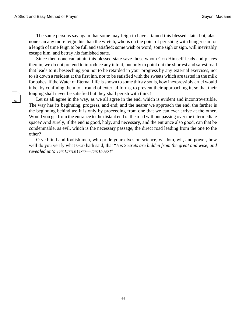The same persons say again that some may feign to have attained this blessed state: but, alas! none can any more feign this than the wretch, who is on the point of perishing with hunger can for a length of time feign to be full and satisfied; some wish or word, some sigh or sign, will inevitably escape him, and betray his famished state.

Since then none can attain this blessed state save those whom GOD Himself leads and places therein, we do not pretend to introduce any into it, but only to point out the shortest and safest road that leads to it: beseeching you not to be retarded in your progress by any external exercises, not to sit down a resident at the first inn, nor to be satisfied with the sweets which are tasted in the milk for babes. If the Water of Eternal Life is shown to some thirsty souls, how inexpressibly cruel would it be, by confining them to a round of external forms, to prevent their approaching it, so that their longing shall never be satisfied but they shall perish with thirst!

<span id="page-47-0"></span>Let us all agree in the way, as we all agree in the end, which is evident and incontrovertible. The way has its beginning, progress, and end; and the nearer we approach the end, the farther is the beginning behind us: it is only by proceeding from one that we can ever arrive at the other. Would you get from the entrance to the distant end of the road without passing over the intermediate space? And surely, if the end is good, holy, and necessary, and the entrance also good, can that be condemnable, as evil, which is the necessary passage, the direct road leading from the one to the other?

O ye blind and foolish men, who pride yourselves on science, wisdom, wit, and power, how well do you verify what GOD hath said, that "*His Secrets are hidden from the great and wise, and revealed unto THE LITTLE ONES—THE BABES!*"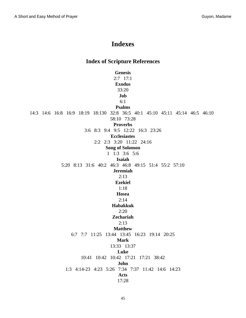# **Indexes**

# **Index of Scripture References**

<span id="page-48-1"></span><span id="page-48-0"></span>**Genesis** [2:7](#page-36-0) [17:1](#page-8-1) **Exodus** [33:20](#page-44-1) **Job** [6:1](#page-17-1) **Psalms** [14:3](#page-45-0)  [14:6](#page-42-1)  [16:8](#page-32-1) [16:9](#page-32-1) [18:19](#page-35-1)  [18:130](#page-42-2) [32:8](#page-31-1)  [36:5](#page-16-1)  [40:1](#page-41-0) [45:10](#page-26-1) [45:11](#page-26-1)  [45:14](#page-19-1) [46:5](#page-32-2)  [46:10](#page-23-1)  [58:10](#page-39-1)  [73:28](#page-37-0) **Proverbs** [3:6](#page-16-2)  [8:3](#page-6-0)  [9:4](#page-43-0) [9:5](#page-43-1)  [12:22](#page-42-3) [16:3](#page-16-3) [23:26](#page-39-2) **Ecclesiastes** [2:2](#page-15-1)  [2:3](#page-15-1) [3:20](#page-33-1)  [11:22](#page-27-1) [24:16](#page-33-2) **Song of Solomon** [1](#page-14-1) [1:3](#page-35-2)  [3:6](#page-33-3) [5:6](#page-33-3) **Isaiah** [5:20](#page-27-2) [8:13](#page-43-2) [31:6](#page-21-1)  [40:2](#page-43-3) [46:3](#page-26-2)  [46:8](#page-39-3)  [49:15](#page-38-0) [51:4](#page-26-3) [55:2](#page-38-1)  [57:10](#page-24-0) **Jeremiah** [2:13](#page-8-2) **Ezekiel** [1:18](#page-35-3) **Hosea** [2:14](#page-26-4) **Habakkuk** [2:20](#page-26-5) **Zechariah** [2:13](#page-38-2) **Matthew** [6:7](#page-12-1) [7:7](#page-6-1)  [11:25](#page-43-4) [13:44](#page-34-0)  [13:45](#page-34-0)  [16:23](#page-17-2) [19:14](#page-43-5) [20:25](#page-16-4) **Mark** [13:33](#page-8-3)  [13:37](#page-8-3) **Luke** [10:41](#page-37-1)  [10:42](#page-6-2) [10:42](#page-37-1)  [17:21](#page-12-2)  [17:21](#page-34-1) [38:42](#page-26-6) **John** [1:3](#page-36-1) [4:14-23](#page-34-2)  [4:23](#page-33-4)  [5:26](#page-36-2) [7:34](#page-5-1)  [7:37](#page-8-2) [11:42](#page-37-2) [14:6](#page-18-1)  [14:23](#page-10-1) **Acts** [17:28](#page-35-4)